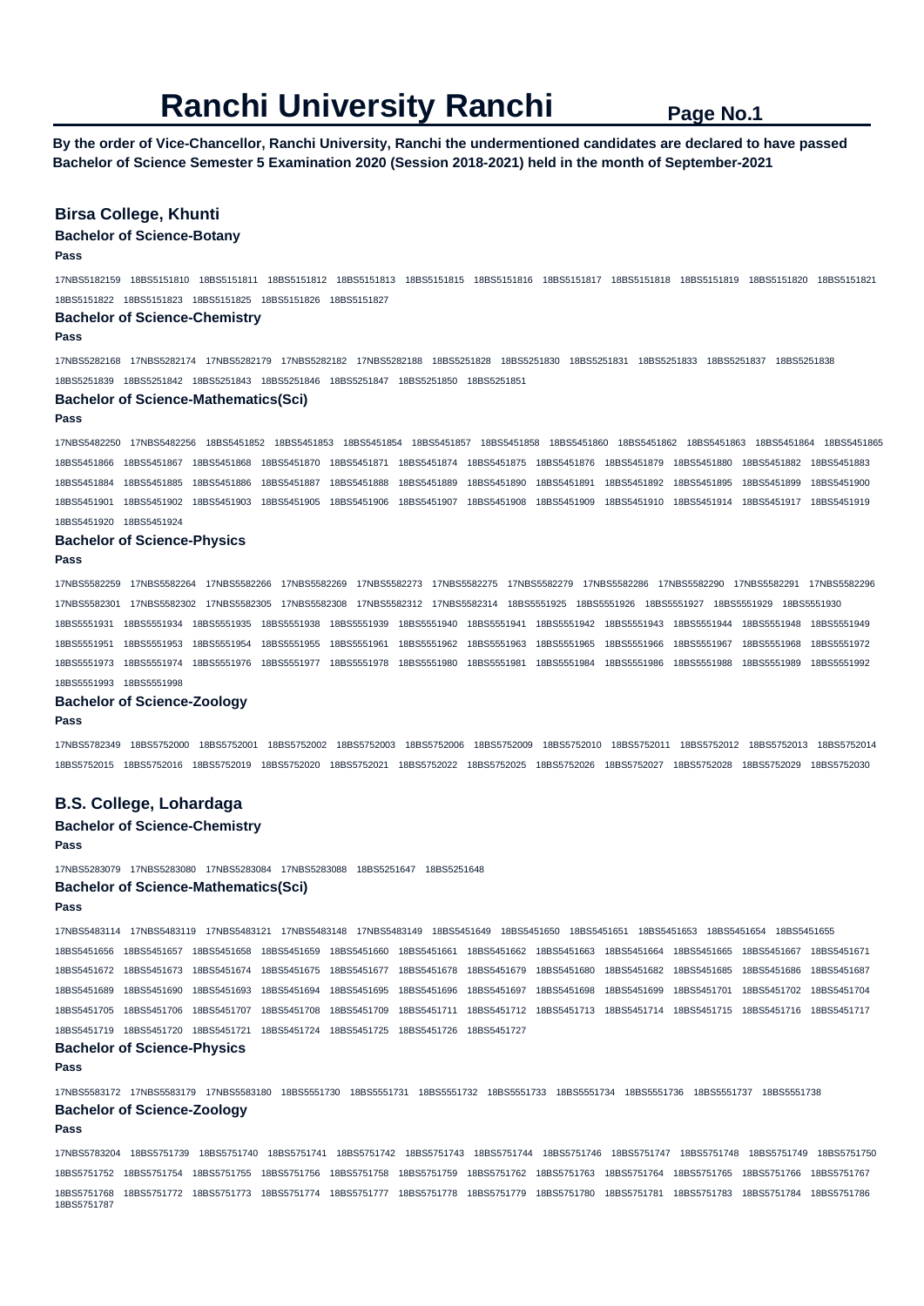**By the order of Vice-Chancellor, Ranchi University, Ranchi the undermentioned candidates are declared to have passed Bachelor of Science Semester 5 Examination 2020 (Session 2018-2021) held in the month of September-2021** 

## **Birsa College, Khunti**

### **Bachelor of Science-Botany**

**Pass** 

17NBS5182159 18BS5151810 18BS5151811 18BS5151812 18BS5151813 18BS5151815 18BS5151816 18BS5151817 18BS5151818 18BS5151819 18BS5151820 18BS5151821 18BS5151822 18BS5151823 18BS5151825 18BS5151826 18BS5151827

#### **Bachelor of Science-Chemistry**

**Pass** 

17NBS5282168 17NBS5282174 17NBS5282179 17NBS5282182 17NBS5282188 18BS5251828 18BS5251830 18BS5251831 18BS5251833 18BS5251837 18BS5251838 18BS5251839 18BS5251842 18BS5251843 18BS5251846 18BS5251847 18BS5251850 18BS5251851

#### **Bachelor of Science-Mathematics(Sci)**

**Pass** 

17NBS5482250 17NBS5482256 18BS5451852 18BS5451853 18BS5451854 18BS5451857 18BS5451858 18BS5451860 18BS5451862 18BS5451863 18BS5451864 18BS5451865 18BS5451866 18BS5451867 18BS5451868 18BS5451870 18BS5451871 18BS5451874 18BS5451875 18BS5451876 18BS5451879 18BS5451880 18BS5451882 18BS5451883 18BS5451884 18BS5451885 18BS5451886 18BS5451887 18BS5451888 18BS5451889 18BS5451890 18BS5451891 18BS5451892 18BS5451895 18BS5451899 18BS5451900 18BS5451901 18BS5451902 18BS5451903 18BS5451905 18BS5451906 18BS5451907 18BS5451908 18BS5451909 18BS5451910 18BS5451914 18BS5451917 18BS5451919 18BS5451920 18BS5451924

#### **Bachelor of Science-Physics**

**Pass** 

17NBS5582259 17NBS5582264 17NBS5582266 17NBS5582269 17NBS5582273 17NBS5582275 17NBS5582279 17NBS5582286 17NBS5582290 17NBS5582291 17NBS5582296 17NBS5582301 17NBS5582302 17NBS5582305 17NBS5582308 17NBS5582312 17NBS5582314 18BS5551925 18BS5551926 18BS5551927 18BS5551929 18BS5551930 18BS5551931 18BS5551934 18BS5551935 18BS5551938 18BS5551939 18BS5551940 18BS5551941 18BS5551942 18BS5551943 18BS5551944 18BS5551948 18BS5551949 18BS5551951 18BS5551953 18BS5551954 18BS5551955 18BS5551961 18BS5551962 18BS5551963 18BS5551965 18BS5551966 18BS5551967 18BS5551968 18BS5551972 18BS5551973 18BS5551974 18BS5551976 18BS5551977 18BS5551978 18BS5551980 18BS5551981 18BS5551984 18BS5551986 18BS5551988 18BS5551989 18BS5551992

### 18BS5551993 18BS5551998

#### **Bachelor of Science-Zoology**

#### **Pass**

17NBS5782349 18BS5752000 18BS5752001 18BS5752002 18BS5752003 18BS5752006 18BS5752009 18BS5752010 18BS5752011 18BS5752012 18BS5752013 18BS5752014 18BS5752015 18BS5752016 18BS5752019 18BS5752020 18BS5752021 18BS5752022 18BS5752025 18BS5752026 18BS5752027 18BS5752028 18BS5752029 18BS5752030

## **B.S. College, Lohardaga**

#### **Bachelor of Science-Chemistry**

#### **Pass**

17NBS5283079 17NBS5283080 17NBS5283084 17NBS5283088 18BS5251647 18BS5251648 **Bachelor of Science-Mathematics(Sci)** 

### **Pass**

17NBS5483114 17NBS5483119 17NBS5483121 17NBS5483148 17NBS5483149 18BS5451649 18BS5451650 18BS5451651 18BS5451653 18BS5451654 18BS5451655 18BS5451656 18BS5451657 18BS5451658 18BS5451659 18BS5451660 18BS5451661 18BS5451662 18BS5451663 18BS5451664 18BS5451665 18BS5451667 18BS5451671 18BS5451672 18BS5451673 18BS5451674 18BS5451675 18BS5451677 18BS5451678 18BS5451679 18BS5451680 18BS5451682 18BS5451685 18BS5451686 18BS5451687 18BS5451689 18BS5451690 18BS5451693 18BS5451694 18BS5451695 18BS5451696 18BS5451697 18BS5451698 18BS5451699 18BS5451701 18BS5451702 18BS5451704 18BS5451705 18BS5451706 18BS5451707 18BS5451708 18BS5451709 18BS5451711 18BS5451712 18BS5451713 18BS5451714 18BS5451715 18BS5451716 18BS5451717 18BS5451719 18BS5451720 18BS5451721 18BS5451724 18BS5451725 18BS5451726 18BS5451727

## **Bachelor of Science-Physics**

**Pass** 

17NBS5583172 17NBS5583179 17NBS5583180 18BS5551730 18BS5551731 18BS5551732 18BS5551733 18BS5551734 18BS5551736 18BS5551737 18BS5551738 **Bachelor of Science-Zoology** 

#### **Pass**

17NBS5783204 18BS5751739 18BS5751740 18BS5751741 18BS5751742 18BS5751743 18BS5751744 18BS5751746 18BS5751747 18BS5751748 18BS5751749 18BS5751750 18BS5751752 18BS5751754 18BS5751755 18BS5751756 18BS5751758 18BS5751759 18BS5751762 18BS5751763 18BS5751764 18BS5751765 18BS5751766 18BS5751767 18BS5751768 18BS5751772 18BS5751773 18BS5751774 18BS5751777 18BS5751778 18BS5751779 18BS5751780 18BS5751781 18BS5751783 18BS5751784 18BS5751786 18BS5751787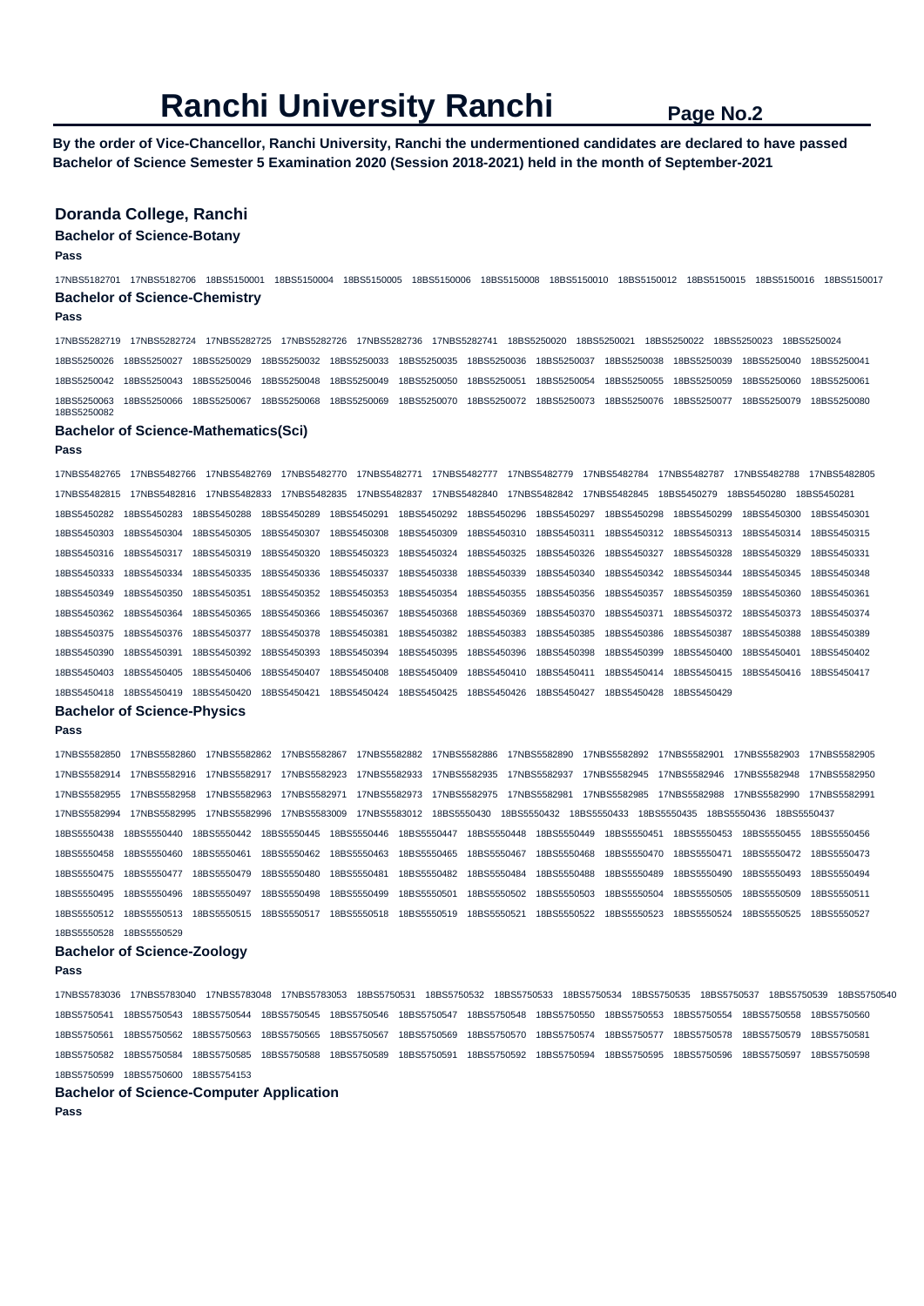**By the order of Vice-Chancellor, Ranchi University, Ranchi the undermentioned candidates are declared to have passed Bachelor of Science Semester 5 Examination 2020 (Session 2018-2021) held in the month of September-2021** 

## **Doranda College, Ranchi**

### **Bachelor of Science-Botany**

**Pass** 

17NBS5182701 17NBS5182706 18BS5150001 18BS5150004 18BS5150005 18BS5150006 18BS5150008 18BS5150010 18BS5150012 18BS5150015 18BS5150016 18BS5150017 **Bachelor of Science-Chemistry** 

### **Pass**

17NBS5282719 17NBS5282724 17NBS5282725 17NBS5282726 17NBS5282736 17NBS5282741 18BS5250020 18BS5250021 18BS5250022 18BS5250023 18BS5250024 18BS5250026 18BS5250027 18BS5250029 18BS5250032 18BS5250033 18BS5250035 18BS5250036 18BS5250037 18BS5250038 18BS5250039 18BS5250040 18BS5250041 18BS5250042 18BS5250043 18BS5250046 18BS5250048 18BS5250049 18BS5250050 18BS5250051 18BS5250054 18BS5250055 18BS5250059 18BS5250060 18BS5250061 18BS5250063 18BS5250066 18BS5250067 18BS5250068 18BS5250069 18BS5250070 18BS5250072 18BS5250073 18BS5250076 18BS5250077 18BS5250079 18BS5250080 18BS5250082

#### **Bachelor of Science-Mathematics(Sci)**

**Pass** 

17NBS5482765 17NBS5482766 17NBS5482769 17NBS5482770 17NBS5482771 17NBS5482777 17NBS5482779 17NBS5482784 17NBS5482787 17NBS5482788 17NBS5482805 17NBS5482815 17NBS5482816 17NBS5482833 17NBS5482835 17NBS5482837 17NBS5482840 17NBS5482842 17NBS5482845 18BS5450279 18BS5450280 18BS5450281 18BS5450282 18BS5450283 18BS5450288 18BS5450289 18BS5450291 18BS5450292 18BS5450296 18BS5450297 18BS5450298 18BS5450299 18BS5450300 18BS5450301 18BS5450303 18BS5450304 18BS5450305 18BS5450307 18BS5450308 18BS5450309 18BS5450310 18BS5450311 18BS5450312 18BS5450313 18BS5450314 18BS5450315 18BS5450316 18BS5450317 18BS5450319 18BS5450320 18BS5450323 18BS5450324 18BS5450325 18BS5450326 18BS5450327 18BS5450328 18BS5450329 18BS5450331 18BS5450333 18BS5450334 18BS5450335 18BS5450336 18BS5450337 18BS5450338 18BS5450339 18BS5450340 18BS5450342 18BS5450344 18BS5450345 18BS5450348 18BS5450349 18BS5450350 18BS5450351 18BS5450352 18BS5450353 18BS5450354 18BS5450355 18BS5450356 18BS5450357 18BS5450359 18BS5450360 18BS5450361 18BS5450362 18BS5450364 18BS5450365 18BS5450366 18BS5450367 18BS5450368 18BS5450369 18BS5450370 18BS5450371 18BS5450372 18BS5450373 18BS5450374 18BS5450375 18BS5450376 18BS5450377 18BS5450378 18BS5450381 18BS5450382 18BS5450383 18BS5450385 18BS5450386 18BS5450387 18BS5450388 18BS5450389 18BS5450390 18BS5450391 18BS5450392 18BS5450393 18BS5450394 18BS5450395 18BS5450396 18BS5450398 18BS5450399 18BS5450400 18BS5450401 18BS5450402 18BS5450403 18BS5450405 18BS5450406 18BS5450407 18BS5450408 18BS5450409 18BS5450410 18BS5450411 18BS5450414 18BS5450415 18BS5450416 18BS5450417 18BS5450418 18BS5450419 18BS5450420 18BS5450421 18BS5450424 18BS5450425 18BS5450426 18BS5450427 18BS5450428 18BS5450429

## **Bachelor of Science-Physics**

### **Pass**

17NBS5582850 17NBS5582860 17NBS5582862 17NBS5582867 17NBS5582882 17NBS5582886 17NBS5582890 17NBS5582892 17NBS5582901 17NBS5582903 17NBS5582905 17NBS5582914 17NBS5582916 17NBS5582917 17NBS5582923 17NBS5582933 17NBS5582935 17NBS5582937 17NBS5582945 17NBS5582946 17NBS5582948 17NBS5582950 17NBS5582955 17NBS5582958 17NBS5582963 17NBS5582971 17NBS5582973 17NBS5582975 17NBS5582981 17NBS5582985 17NBS5582988 17NBS5582990 17NBS5582991 17NBS5582994 17NBS5582995 17NBS5582996 17NBS5583009 17NBS5583012 18BS5550430 18BS5550432 18BS5550433 18BS5550435 18BS5550436 18BS5550437 18BS5550438 18BS5550440 18BS5550442 18BS5550445 18BS5550446 18BS5550447 18BS5550448 18BS5550449 18BS5550451 18BS5550453 18BS5550455 18BS5550456 18BS5550458 18BS5550460 18BS5550461 18BS5550462 18BS5550463 18BS5550465 18BS5550467 18BS5550468 18BS5550470 18BS5550471 18BS5550472 18BS5550473 18BS5550475 18BS5550477 18BS5550479 18BS5550480 18BS5550481 18BS5550482 18BS5550484 18BS5550488 18BS5550489 18BS5550490 18BS5550493 18BS5550494 18BS5550495 18BS5550496 18BS5550497 18BS5550498 18BS5550499 18BS5550501 18BS5550502 18BS5550503 18BS5550504 18BS5550505 18BS5550509 18BS5550511 18BS5550512 18BS5550513 18BS5550515 18BS5550517 18BS5550518 18BS5550519 18BS5550521 18BS5550522 18BS5550523 18BS5550524 18BS5550525 18BS5550527 18BS5550528 18BS5550529

#### **Bachelor of Science-Zoology**

**Pass** 

17NBS5783036 17NBS5783040 17NBS5783048 17NBS5783053 18BS5750531 18BS5750532 18BS5750533 18BS5750534 18BS5750535 18BS5750537 18BS5750539 18BS5750540 18BS5750541 18BS5750543 18BS5750544 18BS5750545 18BS5750546 18BS5750547 18BS5750548 18BS5750550 18BS5750553 18BS5750554 18BS5750558 18BS5750560 18BS5750561 18BS5750562 18BS5750563 18BS5750565 18BS5750567 18BS5750569 18BS5750570 18BS5750574 18BS5750577 18BS5750578 18BS5750579 18BS5750581 18BS5750582 18BS5750584 18BS5750585 18BS5750588 18BS5750589 18BS5750591 18BS5750592 18BS5750594 18BS5750595 18BS5750596 18BS5750597 18BS5750598 18BS5750599 18BS5750600 18BS5754153

### **Bachelor of Science-Computer Application**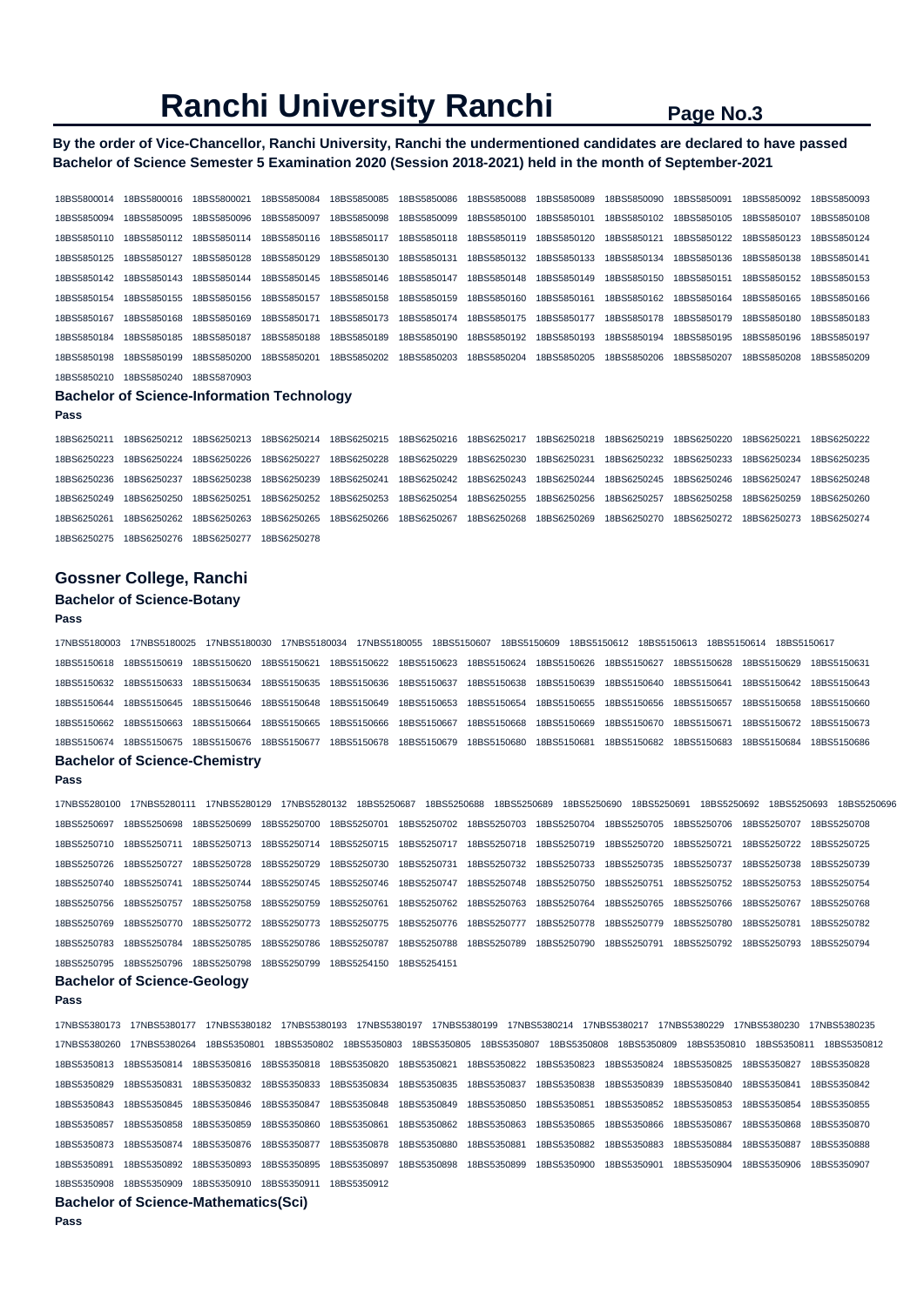## **By the order of Vice-Chancellor, Ranchi University, Ranchi the undermentioned candidates are declared to have passed Bachelor of Science Semester 5 Examination 2020 (Session 2018-2021) held in the month of September-2021**

| 18BS5800014 | 18BS5800016 | 18BS5800021 | 18BS5850084 | 18BS5850085 | 18BS5850086 | 18BS5850088 | 18BS5850089 | 18BS5850090 | 18BS5850091 | 18BS5850092 | 18BS5850093 |
|-------------|-------------|-------------|-------------|-------------|-------------|-------------|-------------|-------------|-------------|-------------|-------------|
| 18BS5850094 | 18BS5850095 | 18BS5850096 | 18BS5850097 | 18BS5850098 | 18BS5850099 | 18BS5850100 | 18BS5850101 | 18BS5850102 | 18BS5850105 | 18BS5850107 | 18BS5850108 |
| 18BS5850110 | 18BS5850112 | 18BS5850114 | 18BS5850116 | 18BS5850117 | 18BS5850118 | 18BS5850119 | 18BS5850120 | 18BS5850121 | 18BS5850122 | 18BS5850123 | 18BS5850124 |
| 18BS5850125 | 18BS5850127 | 18BS5850128 | 18BS5850129 | 18BS5850130 | 18BS5850131 | 18BS5850132 | 18BS5850133 | 18BS5850134 | 18BS5850136 | 18BS5850138 | 18BS5850141 |
| 18BS5850142 | 18BS5850143 | 18BS5850144 | 18BS5850145 | 18BS5850146 | 18BS5850147 | 18BS5850148 | 18BS5850149 | 18BS5850150 | 18BS5850151 | 18BS5850152 | 18BS5850153 |
| 18BS5850154 | 18BS5850155 | 18BS5850156 | 18BS5850157 | 18BS5850158 | 18BS5850159 | 18BS5850160 | 18BS5850161 | 18BS5850162 | 18BS5850164 | 18BS5850165 | 18BS5850166 |
| 18BS5850167 | 18BS5850168 | 18BS5850169 | 18BS5850171 | 18BS5850173 | 18BS5850174 | 18BS5850175 | 18BS5850177 | 18BS5850178 | 18BS5850179 | 18BS5850180 | 18BS5850183 |
| 18BS5850184 | 18BS5850185 | 18BS5850187 | 18BS5850188 | 18BS5850189 | 18BS5850190 | 18BS5850192 | 18BS5850193 | 18BS5850194 | 18BS5850195 | 18BS5850196 | 18BS5850197 |
| 18BS5850198 | 18BS5850199 | 18BS5850200 | 18BS5850201 | 18BS5850202 | 18BS5850203 | 18BS5850204 | 18BS5850205 | 18BS5850206 | 18BS5850207 | 18BS5850208 | 18BS5850209 |
| 18BS5850210 | 18BS5850240 | 18BS5870903 |             |             |             |             |             |             |             |             |             |

#### **Bachelor of Science-Information Technology**

**Pass** 

18BS6250211 18BS6250212 18BS6250213 18BS6250214 18BS6250215 18BS6250216 18BS6250217 18BS6250218 18BS6250219 18BS6250220 18BS6250221 18BS6250222 18BS6250223 18BS6250224 18BS6250226 18BS6250227 18BS6250228 18BS6250229 18BS6250230 18BS6250231 18BS6250232 18BS6250233 18BS6250234 18BS6250235 18BS6250236 18BS6250237 18BS6250238 18BS6250239 18BS6250241 18BS6250242 18BS6250243 18BS6250244 18BS6250245 18BS6250246 18BS6250247 18BS6250248 18BS6250249 18BS6250250 18BS6250251 18BS6250252 18BS6250253 18BS6250254 18BS6250255 18BS6250256 18BS6250257 18BS6250258 18BS6250259 18BS6250260 18BS6250261 18BS6250262 18BS6250263 18BS6250265 18BS6250266 18BS6250267 18BS6250268 18BS6250269 18BS6250270 18BS6250272 18BS6250273 18BS6250274 18BS6250275 18BS6250276 18BS6250277 18BS6250278

## **Gossner College, Ranchi**

## **Bachelor of Science-Botany**

## **Pass**

17NBS5180003 17NBS5180025 17NBS5180030 17NBS5180034 17NBS5180055 18BS5150607 18BS5150609 18BS5150612 18BS5150613 18BS5150614 18BS5150617 18BS5150618 18BS5150619 18BS5150620 18BS5150621 18BS5150622 18BS5150623 18BS5150624 18BS5150626 18BS5150627 18BS5150628 18BS5150629 18BS5150631 18BS5150632 18BS5150633 18BS5150634 18BS5150635 18BS5150636 18BS5150637 18BS5150638 18BS5150639 18BS5150640 18BS5150641 18BS5150642 18BS5150643 18BS5150644 18BS5150645 18BS5150646 18BS5150648 18BS5150649 18BS5150653 18BS5150654 18BS5150655 18BS5150656 18BS5150657 18BS5150658 18BS5150660 18BS5150662 18BS5150663 18BS5150664 18BS5150665 18BS5150666 18BS5150667 18BS5150668 18BS5150669 18BS5150670 18BS5150671 18BS5150672 18BS5150673 18BS5150674 18BS5150675 18BS5150676 18BS5150677 18BS5150678 18BS5150679 18BS5150680 18BS5150681 18BS5150682 18BS5150683 18BS5150684 18BS5150686 **Bachelor of Science-Chemistry** 

## **Pass**

17NBS5280100 17NBS5280111 17NBS5280129 17NBS5280132 18BS5250687 18BS5250688 18BS5250689 18BS5250690 18BS5250691 18BS5250692 18BS5250693 18BS5250696 18BS5250697 18BS5250698 18BS5250699 18BS5250700 18BS5250701 18BS5250702 18BS5250703 18BS5250704 18BS5250705 18BS5250706 18BS5250707 18BS5250708 18BS5250710 18BS5250711 18BS5250713 18BS5250714 18BS5250715 18BS5250717 18BS5250718 18BS5250719 18BS5250720 18BS5250721 18BS5250722 18BS5250725 18BS5250726 18BS5250727 18BS5250728 18BS5250729 18BS5250730 18BS5250731 18BS5250732 18BS5250733 18BS5250735 18BS5250737 18BS5250738 18BS5250739 18BS5250740 18BS5250741 18BS5250744 18BS5250745 18BS5250746 18BS5250747 18BS5250748 18BS5250750 18BS5250751 18BS5250752 18BS5250753 18BS5250754 18BS5250756 18BS5250757 18BS5250758 18BS5250759 18BS5250761 18BS5250762 18BS5250763 18BS5250764 18BS5250765 18BS5250766 18BS5250767 18BS5250768 18BS5250769 18BS5250770 18BS5250772 18BS5250773 18BS5250775 18BS5250776 18BS5250777 18BS5250778 18BS5250779 18BS5250780 18BS5250781 18BS5250782 18BS5250783 18BS5250784 18BS5250785 18BS5250786 18BS5250787 18BS5250788 18BS5250789 18BS5250790 18BS5250791 18BS5250792 18BS5250793 18BS5250794 18BS5250795 18BS5250796 18BS5250798 18BS5250799 18BS5254150 18BS5254151

## **Bachelor of Science-Geology**

**Pass** 

17NBS5380173 17NBS5380177 17NBS5380182 17NBS5380193 17NBS5380197 17NBS5380199 17NBS5380214 17NBS5380217 17NBS5380229 17NBS5380230 17NBS5380235 17NBS5380260 17NBS5380264 18BS5350801 18BS5350802 18BS5350803 18BS5350805 18BS5350807 18BS5350808 18BS5350809 18BS5350810 18BS5350811 18BS5350812 18BS5350813 18BS5350814 18BS5350816 18BS5350818 18BS5350820 18BS5350821 18BS5350822 18BS5350823 18BS5350824 18BS5350825 18BS5350827 18BS5350828 18BS5350829 18BS5350831 18BS5350832 18BS5350833 18BS5350834 18BS5350835 18BS5350837 18BS5350838 18BS5350839 18BS5350840 18BS5350841 18BS5350842 18BS5350843 18BS5350845 18BS5350846 18BS5350847 18BS5350848 18BS5350849 18BS5350850 18BS5350851 18BS5350852 18BS5350853 18BS5350854 18BS5350855 18BS5350857 18BS5350858 18BS5350859 18BS5350860 18BS5350861 18BS5350862 18BS5350863 18BS5350865 18BS5350866 18BS5350867 18BS5350868 18BS5350870 18BS5350873 18BS5350874 18BS5350876 18BS5350877 18BS5350878 18BS5350880 18BS5350881 18BS5350882 18BS5350883 18BS5350884 18BS5350887 18BS5350888 18BS5350891 18BS5350892 18BS5350893 18BS5350895 18BS5350897 18BS5350898 18BS5350899 18BS5350900 18BS5350901 18BS5350904 18BS5350906 18BS5350907 18BS5350908 18BS5350909 18BS5350910 18BS5350911 18BS5350912

## **Bachelor of Science-Mathematics(Sci)**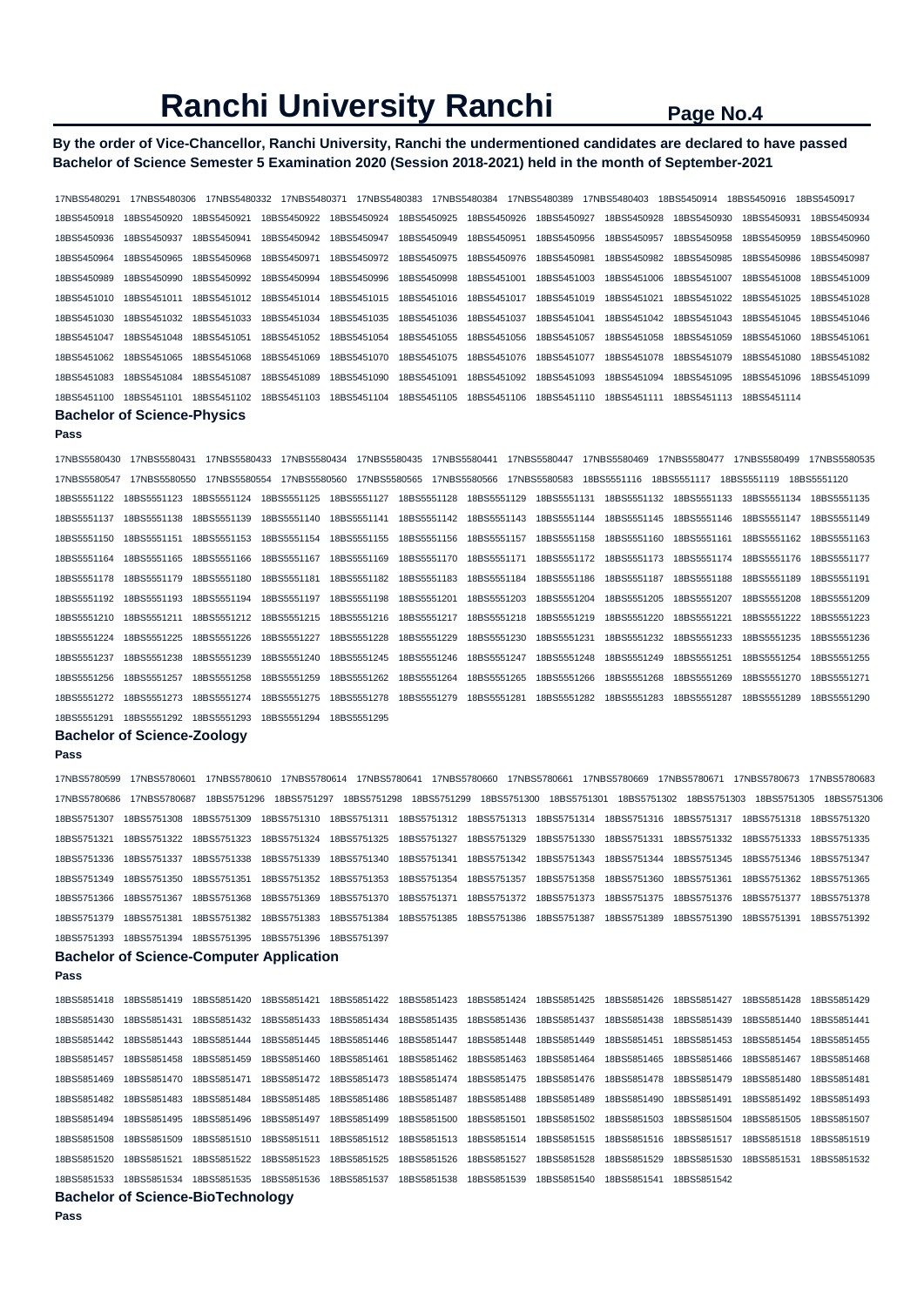## **By the order of Vice-Chancellor, Ranchi University, Ranchi the undermentioned candidates are declared to have passed Bachelor of Science Semester 5 Examination 2020 (Session 2018-2021) held in the month of September-2021**

17NBS5480291 17NBS5480306 17NBS5480332 17NBS5480371 17NBS5480383 17NBS5480384 17NBS5480389 17NBS5480403 18BS5450914 18BS5450916 18BS5450917 18BS5450918 18BS5450920 18BS5450921 18BS5450922 18BS5450924 18BS5450925 18BS5450926 18BS5450927 18BS5450928 18BS5450930 18BS5450931 18BS5450934 18BS5450936 18BS5450937 18BS5450941 18BS5450942 18BS5450947 18BS5450949 18BS5450951 18BS5450956 18BS5450957 18BS5450958 18BS5450959 18BS5450960 18BS5450964 18BS5450965 18BS5450968 18BS5450971 18BS5450972 18BS5450975 18BS5450976 18BS5450981 18BS5450982 18BS5450985 18BS5450986 18BS5450987 18BS5450989 18BS5450990 18BS5450992 18BS5450994 18BS5450996 18BS5450998 18BS5451001 18BS5451003 18BS5451006 18BS5451007 18BS5451008 18BS5451009 18BS5451010 18BS5451011 18BS5451012 18BS5451014 18BS5451015 18BS5451016 18BS5451017 18BS5451019 18BS5451021 18BS5451022 18BS5451025 18BS5451028 18BS5451030 18BS5451032 18BS5451033 18BS5451034 18BS5451035 18BS5451036 18BS5451037 18BS5451041 18BS5451042 18BS5451043 18BS5451045 18BS5451046 18BS5451047 18BS5451048 18BS5451051 18BS5451052 18BS5451054 18BS5451055 18BS5451056 18BS5451057 18BS5451058 18BS5451059 18BS5451060 18BS5451061 18BS5451062 18BS5451065 18BS5451068 18BS5451069 18BS5451070 18BS5451075 18BS5451076 18BS5451077 18BS5451078 18BS5451079 18BS5451080 18BS5451082 18BS5451083 18BS5451084 18BS5451087 18BS5451089 18BS5451090 18BS5451091 18BS5451092 18BS5451093 18BS5451094 18BS5451095 18BS5451096 18BS5451099 18BS5451100 18BS5451101 18BS5451102 18BS5451103 18BS5451104 18BS5451105 18BS5451106 18BS5451110 18BS5451111 18BS5451113 18BS5451114 **Bachelor of Science-Physics** 

#### **Pass**

17NBS5580430 17NBS5580431 17NBS5580433 17NBS5580434 17NBS5580435 17NBS5580441 17NBS5580447 17NBS5580469 17NBS5580477 17NBS5580499 17NBS5580535 17NBS5580547 17NBS5580550 17NBS5580554 17NBS5580560 17NBS5580565 17NBS5580566 17NBS5580583 18BS5551116 18BS5551117 18BS5551119 18BS5551120 18BS5551122 18BS5551123 18BS5551124 18BS5551125 18BS5551127 18BS5551128 18BS5551129 18BS5551131 18BS5551132 18BS5551133 18BS5551134 18BS5551135 18BS5551137 18BS5551138 18BS5551139 18BS5551140 18BS5551141 18BS5551142 18BS5551143 18BS5551144 18BS5551145 18BS5551146 18BS5551147 18BS5551149 18BS5551150 18BS5551151 18BS5551153 18BS5551154 18BS5551155 18BS5551156 18BS5551157 18BS5551158 18BS5551160 18BS5551161 18BS5551162 18BS5551163 18BS5551164 18BS5551165 18BS5551166 18BS5551167 18BS5551169 18BS5551170 18BS5551171 18BS5551172 18BS5551173 18BS5551174 18BS5551176 18BS5551177 18BS5551178 18BS5551179 18BS5551180 18BS5551181 18BS5551182 18BS5551183 18BS5551184 18BS5551186 18BS5551187 18BS5551188 18BS5551189 18BS5551191 18BS5551192 18BS5551193 18BS5551194 18BS5551197 18BS5551198 18BS5551201 18BS5551203 18BS5551204 18BS5551205 18BS5551207 18BS5551208 18BS5551209 18BS5551210 18BS5551211 18BS5551212 18BS5551215 18BS5551216 18BS5551217 18BS5551218 18BS5551219 18BS5551220 18BS5551221 18BS5551222 18BS5551223 18BS5551224 18BS5551225 18BS5551226 18BS5551227 18BS5551228 18BS5551229 18BS5551230 18BS5551231 18BS5551232 18BS5551233 18BS5551235 18BS5551236 18BS5551237 18BS5551238 18BS5551239 18BS5551240 18BS5551245 18BS5551246 18BS5551247 18BS5551248 18BS5551249 18BS5551251 18BS5551254 18BS5551255 18BS5551256 18BS5551257 18BS5551258 18BS5551259 18BS5551262 18BS5551264 18BS5551265 18BS5551266 18BS5551268 18BS5551269 18BS5551270 18BS5551271 18BS5551272 18BS5551273 18BS5551274 18BS5551275 18BS5551278 18BS5551279 18BS5551281 18BS5551282 18BS5551283 18BS5551287 18BS5551289 18BS5551290 18BS5551291 18BS5551292 18BS5551293 18BS5551294 18BS5551295

## **Bachelor of Science-Zoology**

#### **Pass**

17NBS5780599 17NBS5780601 17NBS5780610 17NBS5780614 17NBS5780641 17NBS5780660 17NBS5780661 17NBS5780669 17NBS5780671 17NBS5780673 17NBS5780683 17NBS5780686 17NBS5780687 18BS5751296 18BS5751297 18BS5751298 18BS5751299 18BS5751300 18BS5751301 18BS5751302 18BS5751303 18BS5751305 18BS5751306 18BS5751307 18BS5751308 18BS5751309 18BS5751310 18BS5751311 18BS5751312 18BS5751313 18BS5751314 18BS5751316 18BS5751317 18BS5751318 18BS5751320 18BS5751321 18BS5751322 18BS5751323 18BS5751324 18BS5751325 18BS5751327 18BS5751329 18BS5751330 18BS5751331 18BS5751332 18BS5751333 18BS5751335 18BS5751336 18BS5751337 18BS5751338 18BS5751339 18BS5751340 18BS5751341 18BS5751342 18BS5751343 18BS5751344 18BS5751345 18BS5751346 18BS5751347 18BS5751349 18BS5751350 18BS5751351 18BS5751352 18BS5751353 18BS5751354 18BS5751357 18BS5751358 18BS5751360 18BS5751361 18BS5751362 18BS5751365 18BS5751366 18BS5751367 18BS5751368 18BS5751369 18BS5751370 18BS5751371 18BS5751372 18BS5751373 18BS5751375 18BS5751376 18BS5751377 18BS5751378 18BS5751379 18BS5751381 18BS5751382 18BS5751383 18BS5751384 18BS5751385 18BS5751386 18BS5751387 18BS5751389 18BS5751390 18BS5751391 18BS5751392 18BS5751393 18BS5751394 18BS5751395 18BS5751396 18BS5751397

## **Bachelor of Science-Computer Application**

**Pass** 

| 18BS5851418 | 18BS5851419 | 18BS5851420 | 18BS5851421 | 18BS5851422 | 18BS5851423 | 18BS5851424 | 18BS5851425 | 18BS5851426 | 18BS5851427 | 18BS5851428 | 18BS5851429 |
|-------------|-------------|-------------|-------------|-------------|-------------|-------------|-------------|-------------|-------------|-------------|-------------|
| 18BS5851430 | 18BS5851431 | 18BS5851432 | 18BS5851433 | 18BS5851434 | 18BS5851435 | 18BS5851436 | 18BS5851437 | 18BS5851438 | 18BS5851439 | 18BS5851440 | 18BS5851441 |
| 18BS5851442 | 18BS5851443 | 18BS5851444 | 18BS5851445 | 18BS5851446 | 18BS5851447 | 18BS5851448 | 18BS5851449 | 18BS5851451 | 18BS5851453 | 18BS5851454 | 18BS5851455 |
| 18BS5851457 | 18BS5851458 | 18BS5851459 | 18BS5851460 | 18BS5851461 | 18BS5851462 | 18BS5851463 | 18BS5851464 | 18BS5851465 | 18BS5851466 | 18BS5851467 | 18BS5851468 |
| 18BS5851469 | 18BS5851470 | 18BS5851471 | 18BS5851472 | 18BS5851473 | 18BS5851474 | 18BS5851475 | 18BS5851476 | 18BS5851478 | 18BS5851479 | 18BS5851480 | 18BS5851481 |
| 18BS5851482 | 18BS5851483 | 18BS5851484 | 18BS5851485 | 18BS5851486 | 18BS5851487 | 18BS5851488 | 18BS5851489 | 18BS5851490 | 18BS5851491 | 18BS5851492 | 18BS5851493 |
| 18BS5851494 | 18BS5851495 | 18BS5851496 | 18BS5851497 | 18BS5851499 | 18BS5851500 | 18BS5851501 | 18BS5851502 | 18BS5851503 | 18BS5851504 | 18BS5851505 | 18BS5851507 |
| 18BS5851508 | 18BS5851509 | 18BS5851510 | 18BS5851511 | 18BS5851512 | 18BS5851513 | 18BS5851514 | 18BS5851515 | 18BS5851516 | 18BS5851517 | 18BS5851518 | 18BS5851519 |
| 18BS5851520 | 18BS5851521 | 18BS5851522 | 18BS5851523 | 18BS5851525 | 18BS5851526 | 18BS5851527 | 18BS5851528 | 18BS5851529 | 18BS5851530 | 18BS5851531 | 18BS5851532 |
| 18BS5851533 | 18BS5851534 | 18BS5851535 | 18BS5851536 | 18BS5851537 | 18BS5851538 | 18BS5851539 | 18BS5851540 | 18BS5851541 | 18BS5851542 |             |             |
| _ _ _ _ _   |             | _ _ _ _     |             |             |             |             |             |             |             |             |             |

## **Bachelor of Science-BioTechnology**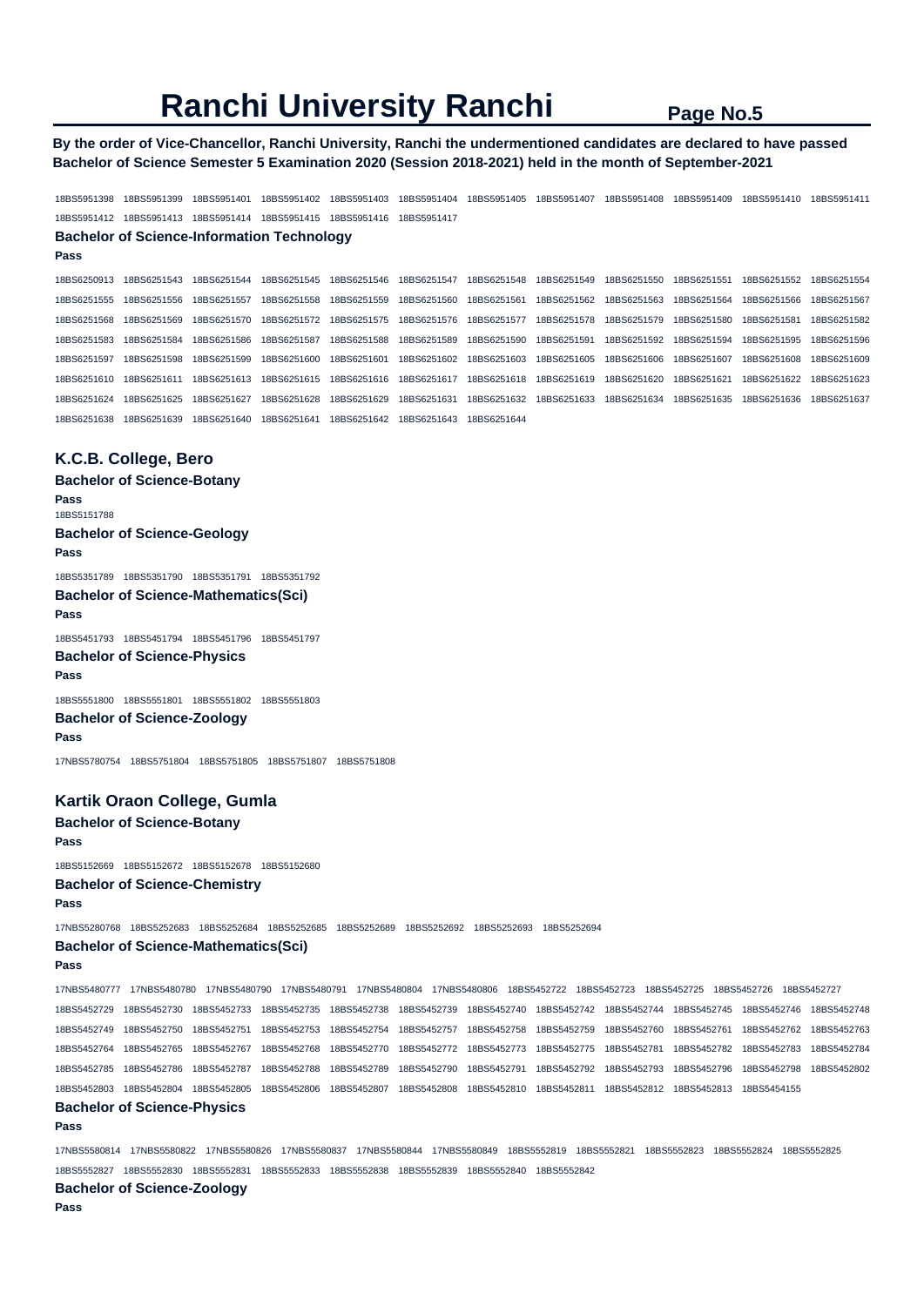**By the order of Vice-Chancellor, Ranchi University, Ranchi the undermentioned candidates are declared to have passed Bachelor of Science Semester 5 Examination 2020 (Session 2018-2021) held in the month of September-2021** 

18BS5951398 18BS5951399 18BS5951401 18BS5951402 18BS5951403 18BS5951404 18BS5951405 18BS5951407 18BS5951408 18BS5951409 18BS5951410 18BS5951411 18BS5951412 18BS5951413 18BS5951414 18BS5951415 18BS5951416 18BS5951417

## **Bachelor of Science-Information Technology**

18BS6250913 18BS6251543 18BS6251544 18BS6251545 18BS6251546 18BS6251547 18BS6251548 18BS6251549 18BS6251550 18BS6251551 18BS6251552 18BS6251554 18BS6251555 18BS6251556 18BS6251557 18BS6251558 18BS6251559 18BS6251560 18BS6251561 18BS6251562 18BS6251563 18BS6251564 18BS6251566 18BS6251567 18BS6251568 18BS6251569 18BS6251570 18BS6251572 18BS6251575 18BS6251576 18BS6251577 18BS6251578 18BS6251579 18BS6251580 18BS6251581 18BS6251582 18BS6251583 18BS6251584 18BS6251586 18BS6251587 18BS6251588 18BS6251589 18BS6251590 18BS6251591 18BS6251592 18BS6251594 18BS6251595 18BS6251596 18BS6251597 18BS6251598 18BS6251599 18BS6251600 18BS6251601 18BS6251602 18BS6251603 18BS6251605 18BS6251606 18BS6251607 18BS6251608 18BS6251609 18BS6251610 18BS6251611 18BS6251613 18BS6251615 18BS6251616 18BS6251617 18BS6251618 18BS6251619 18BS6251620 18BS6251621 18BS6251622 18BS6251623 18BS6251624 18BS6251625 18BS6251627 18BS6251628 18BS6251629 18BS6251631 18BS6251632 18BS6251633 18BS6251634 18BS6251635 18BS6251636 18BS6251637 18BS6251638 18BS6251639 18BS6251640 18BS6251641 18BS6251642 18BS6251643 18BS6251644

## **K.C.B. College, Bero**

**Pass** 

**Bachelor of Science-Botany** 

**Pass**  18BS5151788 **Bachelor of Science-Geology Pass**  18BS5351789 18BS5351790 18BS5351791 18BS5351792 **Bachelor of Science-Mathematics(Sci) Pass**  18BS5451793 18BS5451794 18BS5451796 18BS5451797 **Bachelor of Science-Physics Pass**  18BS5551800 18BS5551801 18BS5551802 18BS5551803

**Bachelor of Science-Zoology Pass** 

17NBS5780754 18BS5751804 18BS5751805 18BS5751807 18BS5751808

## **Kartik Oraon College, Gumla**

**Bachelor of Science-Botany Pass**  18BS5152669 18BS5152672 18BS5152678 18BS5152680 **Bachelor of Science-Chemistry Pass**  17NBS5280768 18BS5252683 18BS5252684 18BS5252685 18BS5252689 18BS5252692 18BS5252693 18BS5252694

## **Bachelor of Science-Mathematics(Sci)**

**Pass** 

17NBS5480777 17NBS5480780 17NBS5480790 17NBS5480791 17NBS5480804 17NBS5480806 18BS5452722 18BS5452723 18BS5452725 18BS5452726 18BS5452727 18BS5452729 18BS5452730 18BS5452733 18BS5452735 18BS5452738 18BS5452739 18BS5452740 18BS5452742 18BS5452744 18BS5452745 18BS5452746 18BS5452748 18BS5452749 18BS5452750 18BS5452751 18BS5452753 18BS5452754 18BS5452757 18BS5452758 18BS5452759 18BS5452760 18BS5452761 18BS5452762 18BS5452763 18BS5452764 18BS5452765 18BS5452767 18BS5452768 18BS5452770 18BS5452772 18BS5452773 18BS5452775 18BS5452781 18BS5452782 18BS5452783 18BS5452784 18BS5452785 18BS5452786 18BS5452787 18BS5452788 18BS5452789 18BS5452790 18BS5452791 18BS5452792 18BS5452793 18BS5452796 18BS5452798 18BS5452802 18BS5452803 18BS5452804 18BS5452805 18BS5452806 18BS5452807 18BS5452808 18BS5452810 18BS5452811 18BS5452812 18BS5452813 18BS5454155 **Bachelor of Science-Physics** 

#### **Pass**

17NBS5580814 17NBS5580822 17NBS5580826 17NBS5580837 17NBS5580844 17NBS5580849 18BS5552819 18BS5552821 18BS5552823 18BS5552824 18BS5552825 18BS5552827 18BS5552830 18BS5552831 18BS5552833 18BS5552838 18BS5552839 18BS5552840 18BS5552842

**Bachelor of Science-Zoology**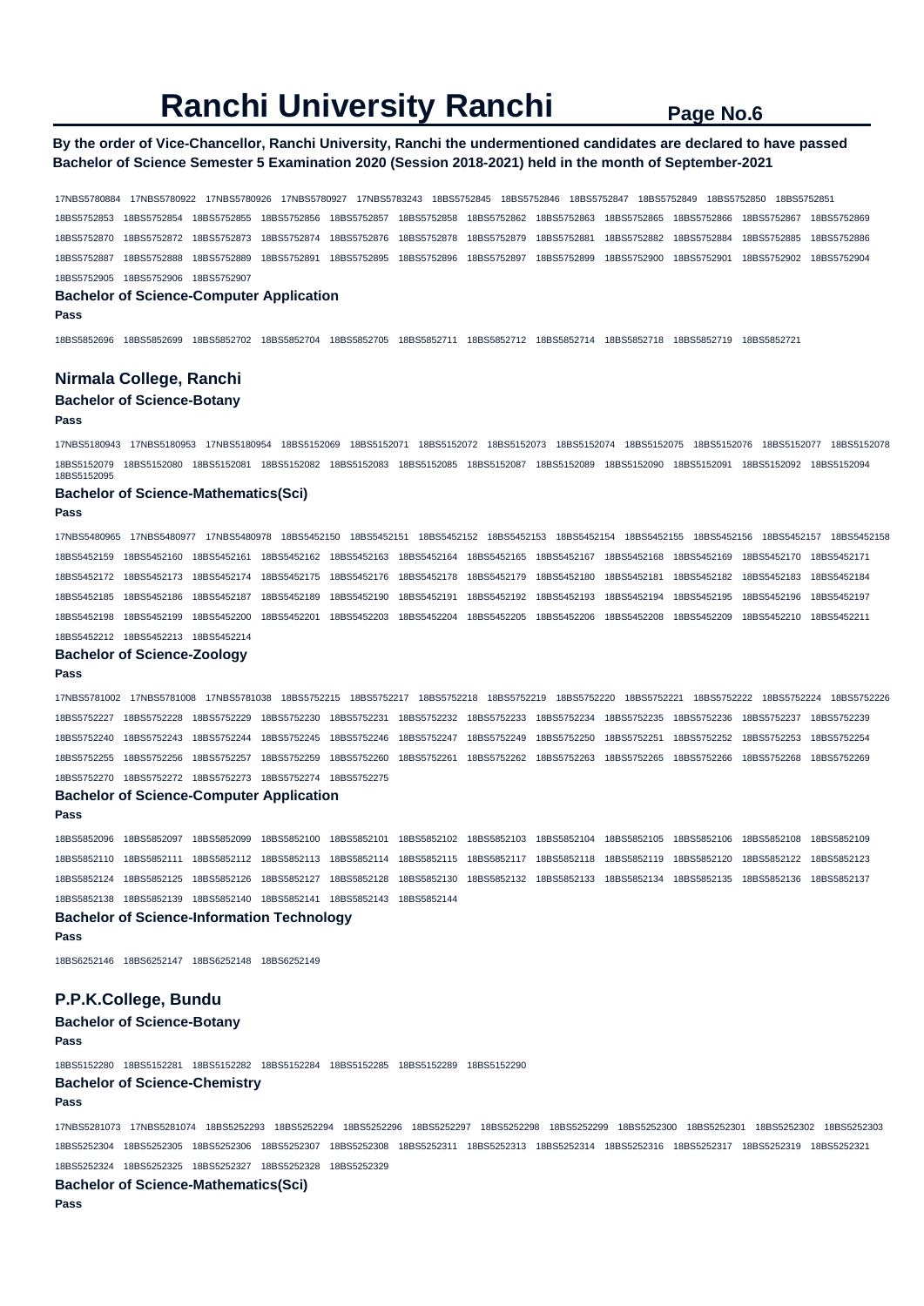## **By the order of Vice-Chancellor, Ranchi University, Ranchi the undermentioned candidates are declared to have passed Bachelor of Science Semester 5 Examination 2020 (Session 2018-2021) held in the month of September-2021**

17NBS5780884 17NBS5780922 17NBS5780926 17NBS5780927 17NBS5783243 18BS5752845 18BS5752846 18BS5752847 18BS5752849 18BS5752850 18BS5752851 18BS5752853 18BS5752854 18BS5752855 18BS5752856 18BS5752857 18BS5752858 18BS5752862 18BS5752863 18BS5752865 18BS5752866 18BS5752867 18BS5752869 18BS5752870 18BS5752872 18BS5752873 18BS5752874 18BS5752876 18BS5752878 18BS5752879 18BS5752881 18BS5752882 18BS5752884 18BS5752885 18BS5752886 18BS5752887 18BS5752888 18BS5752889 18BS5752891 18BS5752895 18BS5752896 18BS5752897 18BS5752899 18BS5752900 18BS5752901 18BS5752902 18BS5752904 18BS5752905 18BS5752906 18BS5752907

#### **Bachelor of Science-Computer Application**

**Pass** 

18BS5852696 18BS5852699 18BS5852702 18BS5852704 18BS5852705 18BS5852711 18BS5852712 18BS5852714 18BS5852718 18BS5852719 18BS5852721

#### **Nirmala College, Ranchi**

#### **Bachelor of Science-Botany**

#### **Pass**

17NBS5180943 17NBS5180953 17NBS5180954 18BS5152069 18BS5152071 18BS5152072 18BS5152073 18BS5152074 18BS5152075 18BS5152076 18BS5152077 18BS5152078 18BS5152079 18BS5152080 18BS5152081 18BS5152082 18BS5152083 18BS5152085 18BS5152087 18BS5152089 18BS5152090 18BS5152091 18BS5152092 18BS5152094 18BS5152095

#### **Bachelor of Science-Mathematics(Sci)**

#### **Pass**

17NBS5480965 17NBS5480977 17NBS5480978 18BS5452150 18BS5452151 18BS5452152 18BS5452153 18BS5452154 18BS5452155 18BS5452156 18BS5452157 18BS5452158 18BS5452159 18BS5452160 18BS5452161 18BS5452162 18BS5452163 18BS5452164 18BS5452165 18BS5452167 18BS5452168 18BS5452169 18BS5452170 18BS5452171 18BS5452172 18BS5452173 18BS5452174 18BS5452175 18BS5452176 18BS5452178 18BS5452179 18BS5452180 18BS5452181 18BS5452182 18BS5452183 18BS5452184 18BS5452185 18BS5452186 18BS5452187 18BS5452189 18BS5452190 18BS5452191 18BS5452192 18BS5452193 18BS5452194 18BS5452195 18BS5452196 18BS5452197 18BS5452198 18BS5452199 18BS5452200 18BS5452201 18BS5452203 18BS5452204 18BS5452205 18BS5452206 18BS5452208 18BS5452209 18BS5452210 18BS5452211 18BS5452212 18BS5452213 18BS5452214

## **Bachelor of Science-Zoology**

#### **Pass**

17NBS5781002 17NBS5781008 17NBS5781038 18BS5752215 18BS5752217 18BS5752218 18BS5752219 18BS5752220 18BS5752221 18BS5752222 18BS5752224 18BS5752226 18BS5752227 18BS5752228 18BS5752229 18BS5752230 18BS5752231 18BS5752232 18BS5752233 18BS5752234 18BS5752235 18BS5752236 18BS5752237 18BS5752239 18BS5752240 18BS5752243 18BS5752244 18BS5752245 18BS5752246 18BS5752247 18BS5752249 18BS5752250 18BS5752251 18BS5752252 18BS5752253 18BS5752254 18BS5752255 18BS5752256 18BS5752257 18BS5752259 18BS5752260 18BS5752261 18BS5752262 18BS5752263 18BS5752265 18BS5752266 18BS5752268 18BS5752269 18BS5752270 18BS5752272 18BS5752273 18BS5752274 18BS5752275

#### **Bachelor of Science-Computer Application**

**Pass** 

18BS5852096 18BS5852097 18BS5852099 18BS5852100 18BS5852101 18BS5852102 18BS5852103 18BS5852104 18BS5852105 18BS5852106 18BS5852108 18BS5852109 18BS5852110 18BS5852111 18BS5852112 18BS5852113 18BS5852114 18BS5852115 18BS5852117 18BS5852118 18BS5852119 18BS5852120 18BS5852122 18BS5852123 18BS5852124 18BS5852125 18BS5852126 18BS5852127 18BS5852128 18BS5852130 18BS5852132 18BS5852133 18BS5852134 18BS5852135 18BS5852136 18BS5852137 18BS5852138 18BS5852139 18BS5852140 18BS5852141 18BS5852143 18BS5852144

**Bachelor of Science-Information Technology** 

**Pass** 

18BS6252146 18BS6252147 18BS6252148 18BS6252149

## **P.P.K.College, Bundu**

### **Bachelor of Science-Botany**

#### **Pass**

18BS5152280 18BS5152281 18BS5152282 18BS5152284 18BS5152285 18BS5152289 18BS5152290 **Bachelor of Science-Chemistry** 

#### **Pass**

17NBS5281073 17NBS5281074 18BS5252293 18BS5252294 18BS5252296 18BS5252297 18BS5252298 18BS5252299 18BS5252300 18BS5252301 18BS5252302 18BS5252303 18BS5252304 18BS5252305 18BS5252306 18BS5252307 18BS5252308 18BS5252311 18BS5252313 18BS5252314 18BS5252316 18BS5252317 18BS5252319 18BS5252321 18BS5252324 18BS5252325 18BS5252327 18BS5252328 18BS5252329

#### **Bachelor of Science-Mathematics(Sci)**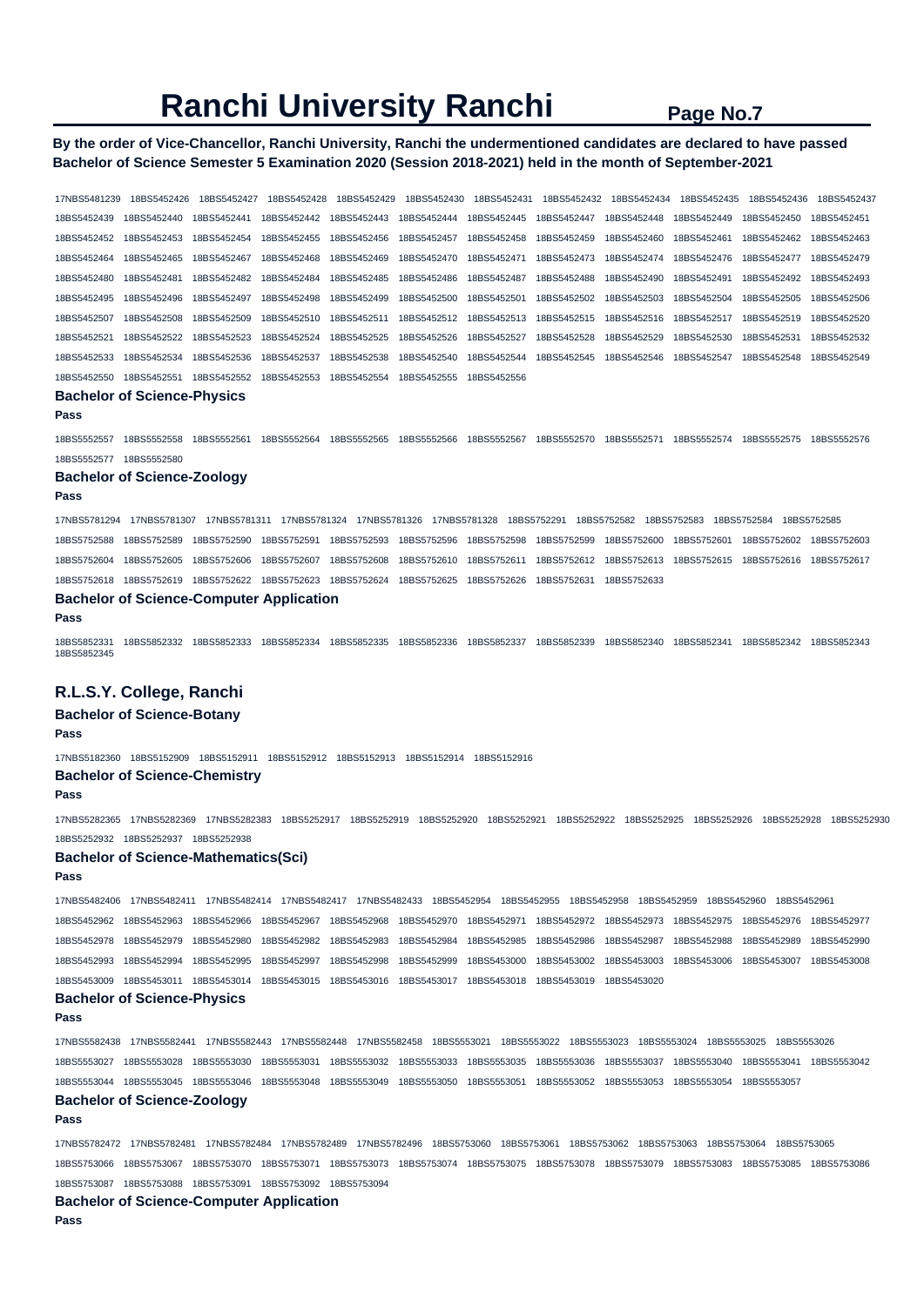## **By the order of Vice-Chancellor, Ranchi University, Ranchi the undermentioned candidates are declared to have passed Bachelor of Science Semester 5 Examination 2020 (Session 2018-2021) held in the month of September-2021**

17NBS5481239 18BS5452426 18BS5452427 18BS5452428 18BS5452429 18BS5452430 18BS5452431 18BS5452432 18BS5452434 18BS5452435 18BS5452436 18BS5452437 18BS5452439 18BS5452440 18BS5452441 18BS5452442 18BS5452443 18BS5452444 18BS5452445 18BS5452447 18BS5452448 18BS5452449 18BS5452450 18BS5452451 18BS5452452 18BS5452453 18BS5452454 18BS5452455 18BS5452456 18BS5452457 18BS5452458 18BS5452459 18BS5452460 18BS5452461 18BS5452462 18BS5452463 18BS5452464 18BS5452465 18BS5452467 18BS5452468 18BS5452469 18BS5452470 18BS5452471 18BS5452473 18BS5452474 18BS5452476 18BS5452477 18BS5452479 18BS5452480 18BS5452481 18BS5452482 18BS5452484 18BS5452485 18BS5452486 18BS5452487 18BS5452488 18BS5452490 18BS5452491 18BS5452492 18BS5452493 18BS5452495 18BS5452496 18BS5452497 18BS5452498 18BS5452499 18BS5452500 18BS5452501 18BS5452502 18BS5452503 18BS5452504 18BS5452505 18BS5452506 18BS5452507 18BS5452508 18BS5452509 18BS5452510 18BS5452511 18BS5452512 18BS5452513 18BS5452515 18BS5452516 18BS5452517 18BS5452519 18BS5452520 18BS5452521 18BS5452522 18BS5452523 18BS5452524 18BS5452525 18BS5452526 18BS5452527 18BS5452528 18BS5452529 18BS5452530 18BS5452531 18BS5452532 18BS5452533 18BS5452534 18BS5452536 18BS5452537 18BS5452538 18BS5452540 18BS5452544 18BS5452545 18BS5452546 18BS5452547 18BS5452548 18BS5452549 18BS5452550 18BS5452551 18BS5452552 18BS5452553 18BS5452554 18BS5452555 18BS5452556 **Bachelor of Science-Physics** 

**Pass** 

18BS5552557 18BS5552558 18BS5552561 18BS5552564 18BS5552565 18BS5552566 18BS5552567 18BS5552570 18BS5552571 18BS5552574 18BS5552575 18BS5552576

18BS5552577 18BS5552580

#### **Bachelor of Science-Zoology**

**Pass** 

17NBS5781294 17NBS5781307 17NBS5781311 17NBS5781324 17NBS5781326 17NBS5781328 18BS5752291 18BS5752582 18BS5752583 18BS5752584 18BS5752585 18BS5752588 18BS5752589 18BS5752590 18BS5752591 18BS5752593 18BS5752596 18BS5752598 18BS5752599 18BS5752600 18BS5752601 18BS5752602 18BS5752603 18BS5752604 18BS5752605 18BS5752606 18BS5752607 18BS5752608 18BS5752610 18BS5752611 18BS5752612 18BS5752613 18BS5752615 18BS5752616 18BS5752617 18BS5752618 18BS5752619 18BS5752622 18BS5752623 18BS5752624 18BS5752625 18BS5752626 18BS5752631 18BS5752633

## **Bachelor of Science-Computer Application**

**Pass** 

18BS5852331 18BS5852332 18BS5852333 18BS5852334 18BS5852335 18BS5852336 18BS5852337 18BS5852339 18BS5852340 18BS5852341 18BS5852342 18BS5852343 18BS5852345

## **R.L.S.Y. College, Ranchi**

#### **Bachelor of Science-Botany**

**Pass** 

17NBS5182360 18BS5152909 18BS5152911 18BS5152912 18BS5152913 18BS5152914 18BS5152916

## **Bachelor of Science-Chemistry**

**Pass** 

17NBS5282365 17NBS5282369 17NBS5282383 18BS5252917 18BS5252919 18BS5252920 18BS5252921 18BS5252922 18BS5252925 18BS5252926 18BS5252928 18BS5252930 18BS5252932 18BS5252937 18BS5252938

#### **Bachelor of Science-Mathematics(Sci)**

**Pass** 

17NBS5482406 17NBS5482411 17NBS5482414 17NBS5482417 17NBS5482433 18BS5452954 18BS5452955 18BS5452958 18BS5452959 18BS5452960 18BS5452961 18BS5452962 18BS5452963 18BS5452966 18BS5452967 18BS5452968 18BS5452970 18BS5452971 18BS5452972 18BS5452973 18BS5452975 18BS5452976 18BS5452977 18BS5452978 18BS5452979 18BS5452980 18BS5452982 18BS5452983 18BS5452984 18BS5452985 18BS5452986 18BS5452987 18BS5452988 18BS5452989 18BS5452990 18BS5452993 18BS5452994 18BS5452995 18BS5452997 18BS5452998 18BS5452999 18BS5453000 18BS5453002 18BS5453003 18BS5453006 18BS5453007 18BS5453008 18BS5453009 18BS5453011 18BS5453014 18BS5453015 18BS5453016 18BS5453017 18BS5453018 18BS5453019 18BS5453020

#### **Bachelor of Science-Physics**

**Pass** 

17NBS5582438 17NBS5582441 17NBS5582443 17NBS5582448 17NBS5582458 18BS5553021 18BS5553022 18BS5553023 18BS5553024 18BS5553025 18BS5553026 18BS5553027 18BS5553028 18BS5553030 18BS5553031 18BS5553032 18BS5553033 18BS5553035 18BS5553036 18BS5553037 18BS5553040 18BS5553041 18BS5553042 18BS5553044 18BS5553045 18BS5553046 18BS5553048 18BS5553049 18BS5553050 18BS5553051 18BS5553052 18BS5553053 18BS5553054 18BS5553057

## **Bachelor of Science-Zoology**

**Pass** 

17NBS5782472 17NBS5782481 17NBS5782484 17NBS5782489 17NBS5782496 18BS5753060 18BS5753061 18BS5753062 18BS5753063 18BS5753064 18BS5753065 18BS5753066 18BS5753067 18BS5753070 18BS5753071 18BS5753073 18BS5753074 18BS5753075 18BS5753078 18BS5753079 18BS5753083 18BS5753085 18BS5753086 18BS5753087 18BS5753088 18BS5753091 18BS5753092 18BS5753094

## **Bachelor of Science-Computer Application**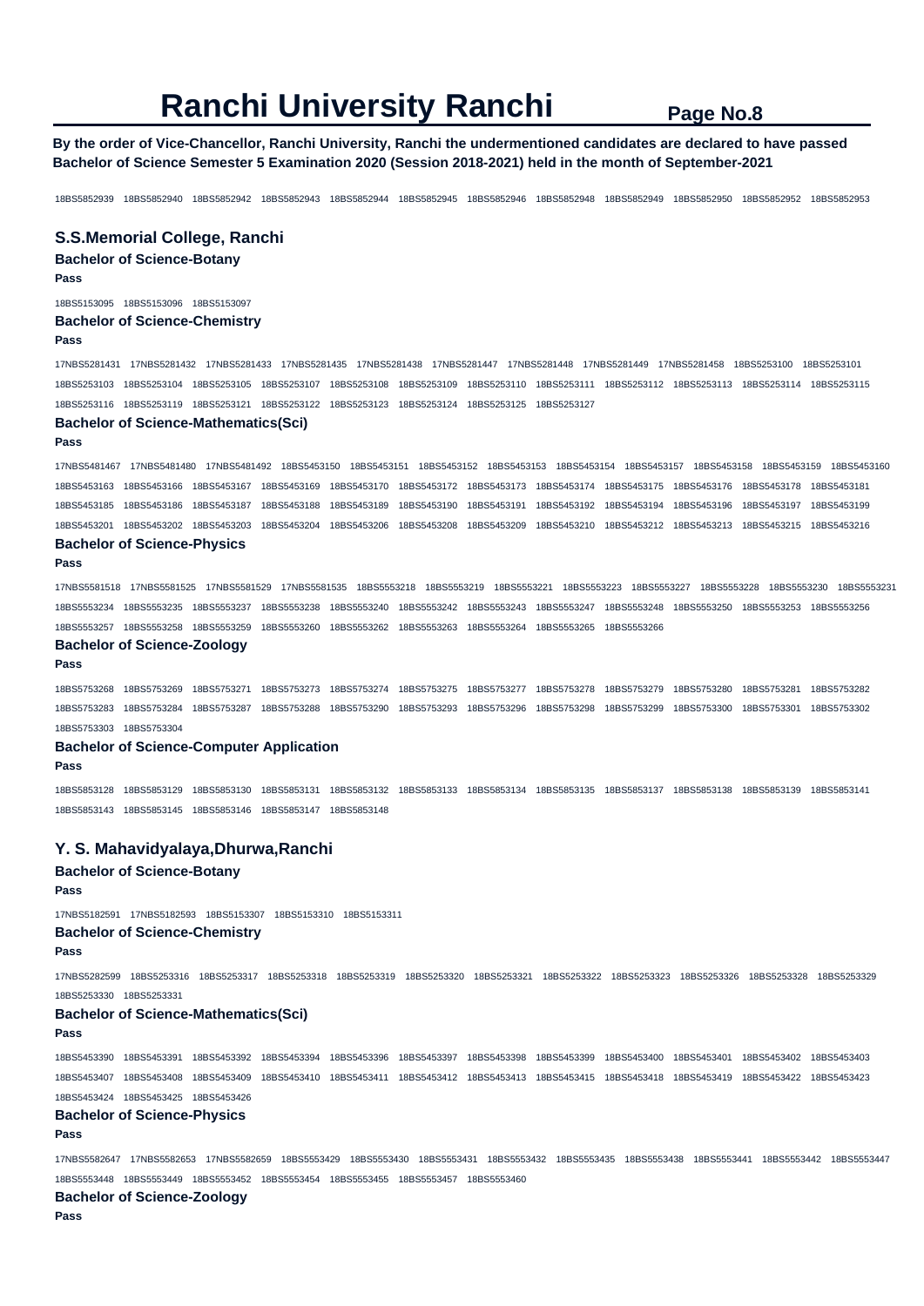**By the order of Vice-Chancellor, Ranchi University, Ranchi the undermentioned candidates are declared to have passed Bachelor of Science Semester 5 Examination 2020 (Session 2018-2021) held in the month of September-2021** 

18BS5852939 18BS5852940 18BS5852942 18BS5852943 18BS5852944 18BS5852945 18BS5852946 18BS5852948 18BS5852949 18BS5852950 18BS5852952 18BS5852953

#### **S.S.Memorial College, Ranchi**

**Bachelor of Science-Botany** 

#### **Pass**

18BS5153095 18BS5153096 18BS5153097 **Bachelor of Science-Chemistry Pass** 

17NBS5281431 17NBS5281432 17NBS5281433 17NBS5281435 17NBS5281438 17NBS5281447 17NBS5281448 17NBS5281449 17NBS5281458 18BS5253100 18BS5253101 18BS5253103 18BS5253104 18BS5253105 18BS5253107 18BS5253108 18BS5253109 18BS5253110 18BS5253111 18BS5253112 18BS5253113 18BS5253114 18BS5253115 18BS5253116 18BS5253119 18BS5253121 18BS5253122 18BS5253123 18BS5253124 18BS5253125 18BS5253127

### **Bachelor of Science-Mathematics(Sci)**

**Pass** 

17NBS5481467 17NBS5481480 17NBS5481492 18BS5453150 18BS5453151 18BS5453152 18BS5453153 18BS5453154 18BS5453157 18BS5453158 18BS5453159 18BS5453160 18BS5453163 18BS5453166 18BS5453167 18BS5453169 18BS5453170 18BS5453172 18BS5453173 18BS5453174 18BS5453175 18BS5453176 18BS5453178 18BS5453181 18BS5453185 18BS5453186 18BS5453187 18BS5453188 18BS5453189 18BS5453190 18BS5453191 18BS5453192 18BS5453194 18BS5453196 18BS5453197 18BS5453199 18BS5453201 18BS5453202 18BS5453203 18BS5453204 18BS5453206 18BS5453208 18BS5453209 18BS5453210 18BS5453212 18BS5453213 18BS5453215 18BS5453216 **Bachelor of Science-Physics** 

#### **Pass**

17NBS5581518 17NBS5581525 17NBS5581529 17NBS5581535 18BS5553218 18BS5553219 18BS5553221 18BS5553223 18BS5553227 18BS5553228 18BS5553230 18BS5553231 18BS5553234 18BS5553235 18BS5553237 18BS5553238 18BS5553240 18BS5553242 18BS5553243 18BS5553247 18BS5553248 18BS5553250 18BS5553253 18BS5553256 18BS5553257 18BS5553258 18BS5553259 18BS5553260 18BS5553262 18BS5553263 18BS5553264 18BS5553265 18BS5553266

#### **Bachelor of Science-Zoology**

**Pass** 

18BS5753268 18BS5753269 18BS5753271 18BS5753273 18BS5753274 18BS5753275 18BS5753277 18BS5753278 18BS5753279 18BS5753280 18BS5753281 18BS5753282 18BS5753283 18BS5753284 18BS5753287 18BS5753288 18BS5753290 18BS5753293 18BS5753296 18BS5753298 18BS5753299 18BS5753300 18BS5753301 18BS5753302 18BS5753303 18BS5753304

#### **Bachelor of Science-Computer Application**

**Pass** 

18BS5853128 18BS5853129 18BS5853130 18BS5853131 18BS5853132 18BS5853133 18BS5853134 18BS5853135 18BS5853137 18BS5853138 18BS5853139 18BS5853141 18BS5853143 18BS5853145 18BS5853146 18BS5853147 18BS5853148

## **Y. S. Mahavidyalaya,Dhurwa,Ranchi**

**Bachelor of Science-Botany** 

#### **Pass**

17NBS5182591 17NBS5182593 18BS5153307 18BS5153310 18BS5153311

#### **Bachelor of Science-Chemistry**

**Pass** 

17NBS5282599 18BS5253316 18BS5253317 18BS5253318 18BS5253319 18BS5253320 18BS5253321 18BS5253322 18BS5253323 18BS5253326 18BS5253328 18BS5253329 18BS5253330 18BS5253331

#### **Bachelor of Science-Mathematics(Sci)**

#### **Pass**

18BS5453390 18BS5453391 18BS5453392 18BS5453394 18BS5453396 18BS5453397 18BS5453398 18BS5453399 18BS5453400 18BS5453401 18BS5453402 18BS5453403 18BS5453407 18BS5453408 18BS5453409 18BS5453410 18BS5453411 18BS5453412 18BS5453413 18BS5453415 18BS5453418 18BS5453419 18BS5453422 18BS5453423 18BS5453424 18BS5453425 18BS5453426

## **Bachelor of Science-Physics**

**Pass** 

17NBS5582647 17NBS5582653 17NBS5582659 18BS5553429 18BS5553430 18BS5553431 18BS5553432 18BS5553435 18BS5553438 18BS5553441 18BS5553442 18BS5553447 18BS5553448 18BS5553449 18BS5553452 18BS5553454 18BS5553455 18BS5553457 18BS5553460

## **Bachelor of Science-Zoology**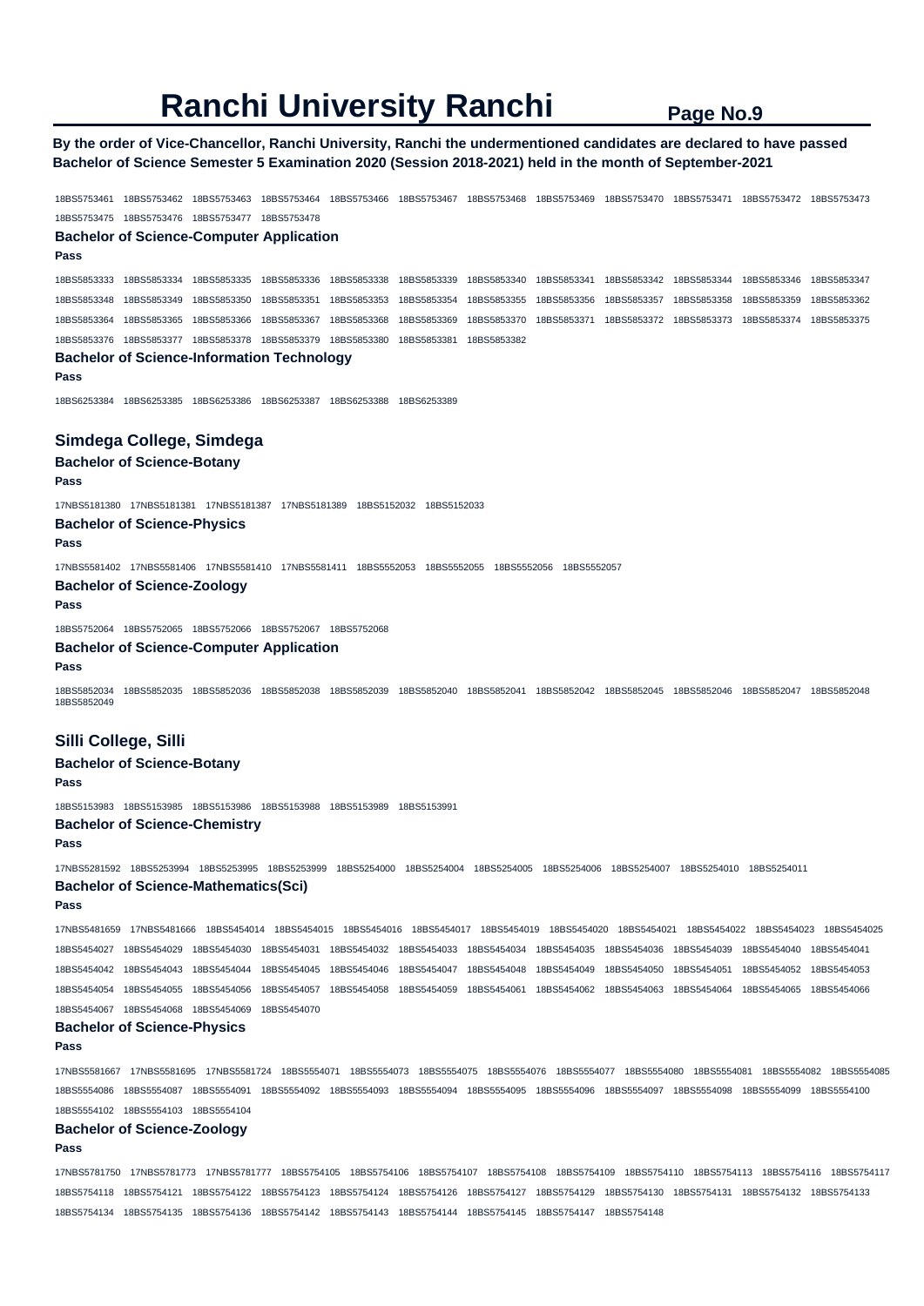**By the order of Vice-Chancellor, Ranchi University, Ranchi the undermentioned candidates are declared to have passed Bachelor of Science Semester 5 Examination 2020 (Session 2018-2021) held in the month of September-2021** 

18BS5753461 18BS5753462 18BS5753463 18BS5753464 18BS5753466 18BS5753467 18BS5753468 18BS5753469 18BS5753470 18BS5753471 18BS5753472 18BS5753473 18BS5753475 18BS5753476 18BS5753477 18BS5753478 **Bachelor of Science-Computer Application Pass**  18BS5853333 18BS5853334 18BS5853335 18BS5853336 18BS5853338 18BS5853339 18BS5853340 18BS5853341 18BS5853342 18BS5853344 18BS5853346 18BS5853347 18BS5853348 18BS5853349 18BS5853350 18BS5853351 18BS5853353 18BS5853354 18BS5853355 18BS5853356 18BS5853357 18BS5853358 18BS5853359 18BS5853362 18BS5853364 18BS5853365 18BS5853366 18BS5853367 18BS5853368 18BS5853369 18BS5853370 18BS5853371 18BS5853372 18BS5853373 18BS5853374 18BS5853375 18BS5853376 18BS5853377 18BS5853378 18BS5853379 18BS5853380 18BS5853381 18BS5853382 **Bachelor of Science-Information Technology Pass**  18BS6253384 18BS6253385 18BS6253386 18BS6253387 18BS6253388 18BS6253389 **Simdega College, Simdega Bachelor of Science-Botany Pass**  17NBS5181380 17NBS5181381 17NBS5181387 17NBS5181389 18BS5152032 18BS5152033 **Bachelor of Science-Physics Pass**  17NBS5581402 17NBS5581406 17NBS5581410 17NBS5581411 18BS5552053 18BS5552055 18BS5552056 18BS5552057 **Bachelor of Science-Zoology Pass**  18BS5752064 18BS5752065 18BS5752066 18BS5752067 18BS5752068 **Bachelor of Science-Computer Application Pass**  18BS5852034 18BS5852035 18BS5852036 18BS5852038 18BS5852039 18BS5852040 18BS5852041 18BS5852042 18BS5852045 18BS5852046 18BS5852047 18BS5852048 18BS5852049 **Silli College, Silli Bachelor of Science-Botany Pass**  18BS5153983 18BS5153985 18BS5153986 18BS5153988 18BS5153989 18BS5153991 **Bachelor of Science-Chemistry** 

#### **Pass**

17NBS5281592 18BS5253994 18BS5253995 18BS5253999 18BS5254000 18BS5254004 18BS5254005 18BS5254006 18BS5254007 18BS5254010 18BS5254011 **Bachelor of Science-Mathematics(Sci)** 

**Pass** 

17NBS5481659 17NBS5481666 18BS5454014 18BS5454015 18BS5454016 18BS5454017 18BS5454019 18BS5454020 18BS5454021 18BS5454022 18BS5454023 18BS5454025 18BS5454027 18BS5454029 18BS5454030 18BS5454031 18BS5454032 18BS5454033 18BS5454034 18BS5454035 18BS5454036 18BS5454039 18BS5454040 18BS5454041 18BS5454042 18BS5454043 18BS5454044 18BS5454045 18BS5454046 18BS5454047 18BS5454048 18BS5454049 18BS5454050 18BS5454051 18BS5454052 18BS5454053 18BS5454054 18BS5454055 18BS5454056 18BS5454057 18BS5454058 18BS5454059 18BS5454061 18BS5454062 18BS5454063 18BS5454064 18BS5454065 18BS5454066 18BS5454067 18BS5454068 18BS5454069 18BS5454070

#### **Bachelor of Science-Physics**

#### **Pass**

17NBS5581667 17NBS5581695 17NBS5581724 18BS5554071 18BS5554073 18BS5554075 18BS5554076 18BS5554077 18BS5554080 18BS5554081 18BS5554082 18BS5554085 18BS5554086 18BS5554087 18BS5554091 18BS5554092 18BS5554093 18BS5554094 18BS5554095 18BS5554096 18BS5554097 18BS5554098 18BS5554099 18BS5554100 18BS5554102 18BS5554103 18BS5554104

## **Bachelor of Science-Zoology**

**Pass** 

17NBS5781750 17NBS5781773 17NBS5781777 18BS5754105 18BS5754106 18BS5754107 18BS5754108 18BS5754109 18BS5754110 18BS5754113 18BS5754116 18BS5754117 18BS5754118 18BS5754121 18BS5754122 18BS5754123 18BS5754124 18BS5754126 18BS5754127 18BS5754129 18BS5754130 18BS5754131 18BS5754132 18BS5754133 18BS5754134 18BS5754135 18BS5754136 18BS5754142 18BS5754143 18BS5754144 18BS5754145 18BS5754147 18BS5754148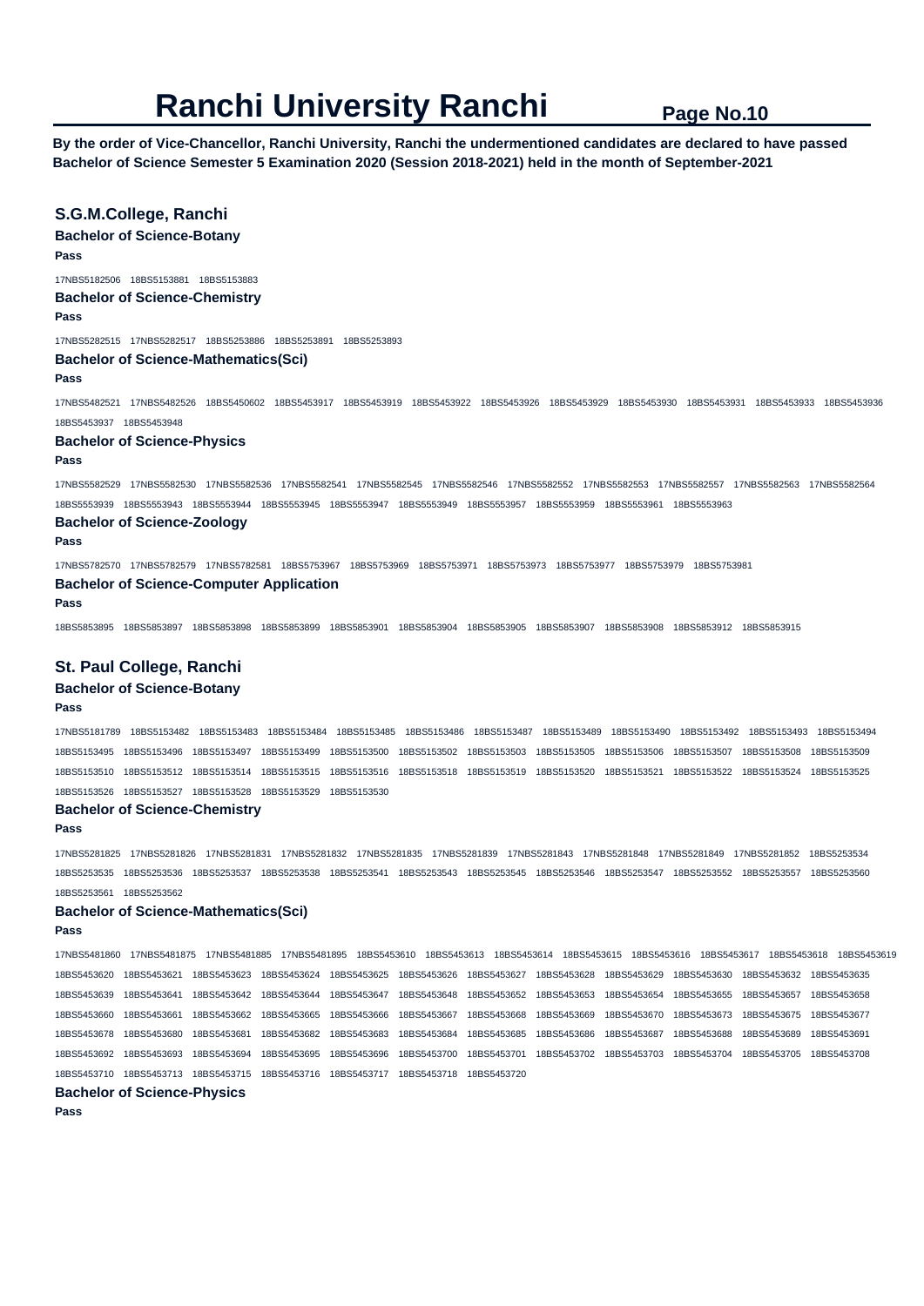**By the order of Vice-Chancellor, Ranchi University, Ranchi the undermentioned candidates are declared to have passed Bachelor of Science Semester 5 Examination 2020 (Session 2018-2021) held in the month of September-2021** 

## **S.G.M.College, Ranchi**

**Bachelor of Science-Botany** 

**Pass** 

17NBS5182506 18BS5153881 18BS5153883

## **Bachelor of Science-Chemistry**

**Pass** 

17NBS5282515 17NBS5282517 18BS5253886 18BS5253891 18BS5253893

## **Bachelor of Science-Mathematics(Sci)**

**Pass** 

17NBS5482521 17NBS5482526 18BS5450602 18BS5453917 18BS5453919 18BS5453922 18BS5453926 18BS5453929 18BS5453930 18BS5453931 18BS5453933 18BS5453936 18BS5453937 18BS5453948

#### **Bachelor of Science-Physics**

**Pass** 

17NBS5582529 17NBS5582530 17NBS5582536 17NBS5582541 17NBS5582545 17NBS5582546 17NBS5582552 17NBS5582553 17NBS5582557 17NBS5582563 17NBS5582564 18BS5553939 18BS5553943 18BS5553944 18BS5553945 18BS5553947 18BS5553949 18BS5553957 18BS5553959 18BS5553961 18BS5553963

## **Bachelor of Science-Zoology**

#### **Pass**

17NBS5782570 17NBS5782579 17NBS5782581 18BS5753967 18BS5753969 18BS5753971 18BS5753973 18BS5753977 18BS5753979 18BS5753981 **Bachelor of Science-Computer Application** 

#### **Pass**

18BS5853895 18BS5853897 18BS5853898 18BS5853899 18BS5853901 18BS5853904 18BS5853905 18BS5853907 18BS5853908 18BS5853912 18BS5853915

## **St. Paul College, Ranchi**

## **Bachelor of Science-Botany**

#### **Pass**

17NBS5181789 18BS5153482 18BS5153483 18BS5153484 18BS5153485 18BS5153486 18BS5153487 18BS5153489 18BS5153490 18BS5153492 18BS5153493 18BS5153494 18BS5153495 18BS5153496 18BS5153497 18BS5153499 18BS5153500 18BS5153502 18BS5153503 18BS5153505 18BS5153506 18BS5153507 18BS5153508 18BS5153509 18BS5153510 18BS5153512 18BS5153514 18BS5153515 18BS5153516 18BS5153518 18BS5153519 18BS5153520 18BS5153521 18BS5153522 18BS5153524 18BS5153525 18BS5153526 18BS5153527 18BS5153528 18BS5153529 18BS5153530

#### **Bachelor of Science-Chemistry**

**Pass** 

17NBS5281825 17NBS5281826 17NBS5281831 17NBS5281832 17NBS5281835 17NBS5281839 17NBS5281843 17NBS5281848 17NBS5281849 17NBS5281852 18BS5253534 18BS5253535 18BS5253536 18BS5253537 18BS5253538 18BS5253541 18BS5253543 18BS5253545 18BS5253546 18BS5253547 18BS5253552 18BS5253557 18BS5253560 18BS5253561 18BS5253562

#### **Bachelor of Science-Mathematics(Sci)**

**Pass** 

17NBS5481860 17NBS5481875 17NBS5481885 17NBS5481895 18BS5453610 18BS5453613 18BS5453614 18BS5453615 18BS5453616 18BS5453617 18BS5453618 18BS5453619 18BS5453620 18BS5453621 18BS5453623 18BS5453624 18BS5453625 18BS5453626 18BS5453627 18BS5453628 18BS5453629 18BS5453630 18BS5453632 18BS5453635 18BS5453639 18BS5453641 18BS5453642 18BS5453644 18BS5453647 18BS5453648 18BS5453652 18BS5453653 18BS5453654 18BS5453655 18BS5453657 18BS5453658 18BS5453660 18BS5453661 18BS5453662 18BS5453665 18BS5453666 18BS5453667 18BS5453668 18BS5453669 18BS5453670 18BS5453673 18BS5453675 18BS5453677 18BS5453678 18BS5453680 18BS5453681 18BS5453682 18BS5453683 18BS5453684 18BS5453685 18BS5453686 18BS5453687 18BS5453688 18BS5453689 18BS5453691 18BS5453692 18BS5453693 18BS5453694 18BS5453695 18BS5453696 18BS5453700 18BS5453701 18BS5453702 18BS5453703 18BS5453704 18BS5453705 18BS5453708 18BS5453710 18BS5453713 18BS5453715 18BS5453716 18BS5453717 18BS5453718 18BS5453720

## **Bachelor of Science-Physics**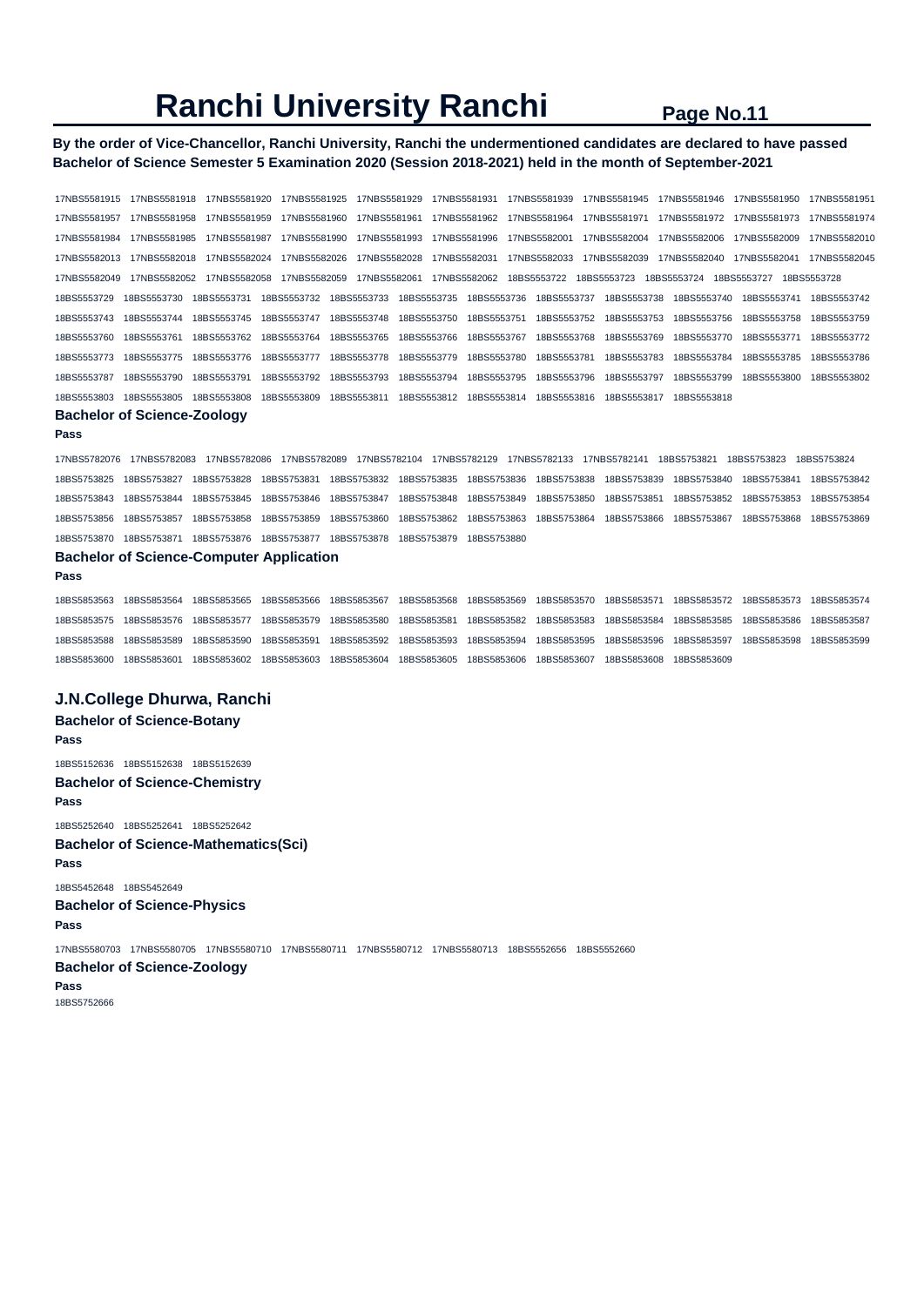## **By the order of Vice-Chancellor, Ranchi University, Ranchi the undermentioned candidates are declared to have passed Bachelor of Science Semester 5 Examination 2020 (Session 2018-2021) held in the month of September-2021**

17NBS5581915 17NBS5581918 17NBS5581920 17NBS5581925 17NBS5581929 17NBS5581931 17NBS5581939 17NBS5581945 17NBS5581946 17NBS5581950 17NBS5581951 17NBS5581957 17NBS5581958 17NBS5581959 17NBS5581960 17NBS5581961 17NBS5581962 17NBS5581964 17NBS5581971 17NBS5581972 17NBS5581973 17NBS5581974 17NBS5581984 17NBS5581985 17NBS5581987 17NBS5581990 17NBS5581993 17NBS5581996 17NBS5582001 17NBS5582004 17NBS5582006 17NBS5582009 17NBS5582010 17NBS5582013 17NBS5582018 17NBS5582024 17NBS5582026 17NBS5582028 17NBS5582031 17NBS5582033 17NBS5582039 17NBS5582040 17NBS5582041 17NBS5582045 17NBS5582049 17NBS5582052 17NBS5582058 17NBS5582059 17NBS5582061 17NBS5582062 18BS5553722 18BS5553723 18BS5553724 18BS5553727 18BS5553728 18BS5553729 18BS5553730 18BS5553731 18BS5553732 18BS5553733 18BS5553735 18BS5553736 18BS5553737 18BS5553738 18BS5553740 18BS5553741 18BS5553742 18BS5553743 18BS5553744 18BS5553745 18BS5553747 18BS5553748 18BS5553750 18BS5553751 18BS5553752 18BS5553753 18BS5553756 18BS5553758 18BS5553759 18BS5553760 18BS5553761 18BS5553762 18BS5553764 18BS5553765 18BS5553766 18BS5553767 18BS5553768 18BS5553769 18BS5553770 18BS5553771 18BS5553772 18BS5553773 18BS5553775 18BS5553776 18BS5553777 18BS5553778 18BS5553779 18BS5553780 18BS5553781 18BS5553783 18BS5553784 18BS5553785 18BS5553786 18BS5553787 18BS5553790 18BS5553791 18BS5553792 18BS5553793 18BS5553794 18BS5553795 18BS5553796 18BS5553797 18BS5553799 18BS5553800 18BS5553802 18BS5553803 18BS5553805 18BS5553808 18BS5553809 18BS5553811 18BS5553812 18BS5553814 18BS5553816 18BS5553817 18BS5553818

#### **Bachelor of Science-Zoology Pass**

17NBS5782076 17NBS5782083 17NBS5782086 17NBS5782089 17NBS5782104 17NBS5782129 17NBS5782133 17NBS5782141 18BS5753821 18BS5753823 18BS5753824 18BS5753825 18BS5753827 18BS5753828 18BS5753831 18BS5753832 18BS5753835 18BS5753836 18BS5753838 18BS5753839 18BS5753840 18BS5753841 18BS5753842 18BS5753843 18BS5753844 18BS5753845 18BS5753846 18BS5753847 18BS5753848 18BS5753849 18BS5753850 18BS5753851 18BS5753852 18BS5753853 18BS5753854 18BS5753856 18BS5753857 18BS5753858 18BS5753859 18BS5753860 18BS5753862 18BS5753863 18BS5753864 18BS5753866 18BS5753867 18BS5753868 18BS5753869 18BS5753870 18BS5753871 18BS5753876 18BS5753877 18BS5753878 18BS5753879 18BS5753880

## **Bachelor of Science-Computer Application**

**Pass** 

18BS5853563 18BS5853564 18BS5853565 18BS5853566 18BS5853567 18BS5853568 18BS5853569 18BS5853570 18BS5853571 18BS5853572 18BS5853573 18BS5853574 18BS5853575 18BS5853576 18BS5853577 18BS5853579 18BS5853580 18BS5853581 18BS5853582 18BS5853583 18BS5853584 18BS5853585 18BS5853586 18BS5853587 18BS5853588 18BS5853589 18BS5853590 18BS5853591 18BS5853592 18BS5853593 18BS5853594 18BS5853595 18BS5853596 18BS5853597 18BS5853598 18BS5853599 18BS5853600 18BS5853601 18BS5853602 18BS5853603 18BS5853604 18BS5853605 18BS5853606 18BS5853607 18BS5853608 18BS5853609

### **J.N.College Dhurwa, Ranchi**

## **Bachelor of Science-Botany**

**Pass** 

- 18BS5152636 18BS5152638 18BS5152639
- **Bachelor of Science-Chemistry Pass**

18BS5252640 18BS5252641 18BS5252642 **Bachelor of Science-Mathematics(Sci) Pass**  18BS5452648 18BS5452649 **Bachelor of Science-Physics** 

**Pass** 

17NBS5580703 17NBS5580705 17NBS5580710 17NBS5580711 17NBS5580712 17NBS5580713 18BS5552656 18BS5552660

#### **Bachelor of Science-Zoology**

**Pass**  18BS5752666